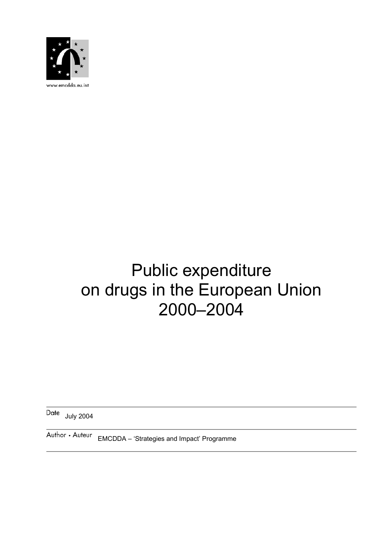

www.emcdda.eu.int

# Public expenditure on drugs in the European Union 2000–2004

Date July 2004

Author • Auteur EMCDDA - 'Strategies and Impact' Programme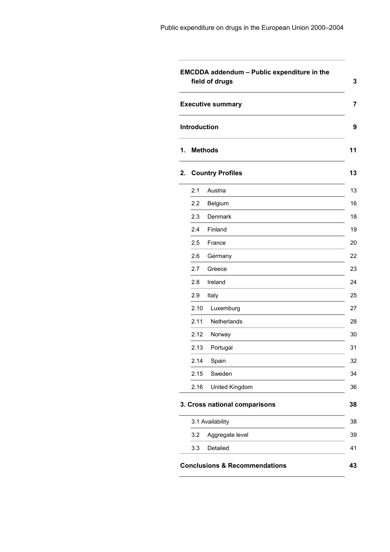| <b>Executive summary</b> |                               |
|--------------------------|-------------------------------|
|                          | Introduction                  |
|                          | <b>Methods</b>                |
|                          | <b>Country Profiles</b>       |
| 2.1                      | Austria                       |
| 2.2                      | Belgium                       |
| 2.3                      | Denmark                       |
| 2.4                      | Finland                       |
| 2.5                      | France                        |
| 2.6                      | Germany                       |
| 2.7                      | Greece                        |
| 2.8                      | Ireland                       |
| 2.9                      | Italy                         |
| 2.10                     | Luxemburg                     |
| 2.11                     | Netherlands                   |
| 2.12                     | Norway                        |
| 2.13                     | Portugal                      |
| 2.14                     | Spain                         |
| 2.15                     | Sweden                        |
| 2.16                     | United Kingdom                |
|                          | 3. Cross national comparisons |
|                          | 3.1 Availability              |
| 3.2                      | Aggregate level               |
| 3.3                      | Detailed                      |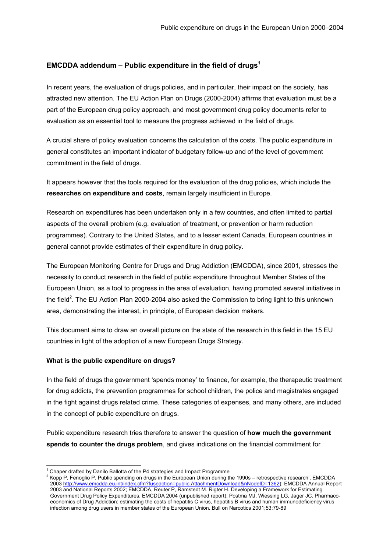# <span id="page-2-0"></span>**EMCDDA addendum – Public expenditure in the field of drug[s1](#page-2-1)**

In recent years, the evaluation of drugs policies, and in particular, their impact on the society, has attracted new attention. The EU Action Plan on Drugs (2000-2004) affirms that evaluation must be a part of the European drug policy approach, and most government drug policy documents refer to evaluation as an essential tool to measure the progress achieved in the field of drugs.

A crucial share of policy evaluation concerns the calculation of the costs. The public expenditure in general constitutes an important indicator of budgetary follow-up and of the level of government commitment in the field of drugs.

It appears however that the tools required for the evaluation of the drug policies, which include the **researches on expenditure and costs**, remain largely insufficient in Europe.

Research on expenditures has been undertaken only in a few countries, and often limited to partial aspects of the overall problem (e.g. evaluation of treatment, or prevention or harm reduction programmes). Contrary to the United States, and to a lesser extent Canada, European countries in general cannot provide estimates of their expenditure in drug policy.

The European Monitoring Centre for Drugs and Drug Addiction (EMCDDA), since 2001, stresses the necessity to conduct research in the field of public expenditure throughout Member States of the European Union, as a tool to progress in the area of evaluation, having promoted several initiatives in the field<sup>[2](#page-2-2)</sup>. The EU Action Plan 2000-2004 also asked the Commission to bring light to this unknown area, demonstrating the interest, in principle, of European decision makers.

This document aims to draw an overall picture on the state of the research in this field in the 15 EU countries in light of the adoption of a new European Drugs Strategy.

#### **What is the public expenditure on drugs?**

In the field of drugs the government 'spends money' to finance, for example, the therapeutic treatment for drug addicts, the prevention programmes for school children, the police and magistrates engaged in the fight against drugs related crime. These categories of expenses, and many others, are included in the concept of public expenditure on drugs.

Public expenditure research tries therefore to answer the question of **how much the government spends to counter the drugs problem**, and gives indications on the financial commitment for

 $\frac{1}{1}$ 

<span id="page-2-2"></span><span id="page-2-1"></span><sup>&</sup>lt;sup>1</sup> Chaper drafted by Danilo Ballotta of the P4 strategies and Impact Programme<br><sup>2</sup> Kopp P, Fenoglio P. Public spending on drugs in the European Union during the 1990s – retrospective research', EMCDDA 2003 <http://www.emcdda.eu.int/index.cfm?fuseaction=public.AttachmentDownload&nNodeID=1362>); EMCDDA Annual Report 2003 and National Reports 2002; EMCDDA, Reuter P, Ramstedt M. Rigter H. Developing a Framework for Estimating Government Drug Policy Expenditures, EMCDDA 2004 (unpublished report); Postma MJ, Wiessing LG, Jager JC. Pharmacoeconomics of Drug Addiction: estimating the costs of hepatitis C virus, hepatitis B virus and human immunodeficiency virus infection among drug users in member states of the European Union. Bull on Narcotics 2001;53:79-89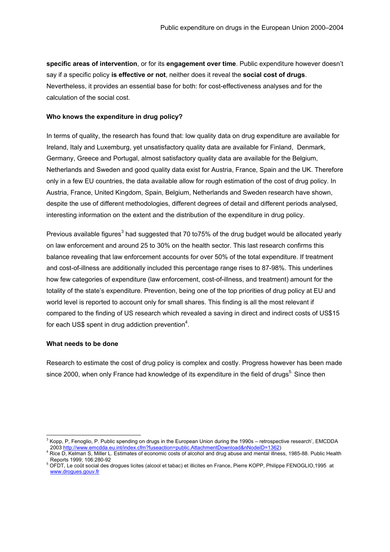**specific areas of intervention**, or for its **engagement over time**. Public expenditure however doesn't say if a specific policy **is effective or not**, neither does it reveal the **social cost of drugs**. Nevertheless, it provides an essential base for both: for cost-effectiveness analyses and for the calculation of the social cost.

# **Who knows the expenditure in drug policy?**

In terms of quality, the research has found that: low quality data on drug expenditure are available for Ireland, Italy and Luxemburg, yet unsatisfactory quality data are available for Finland, Denmark, Germany, Greece and Portugal, almost satisfactory quality data are available for the Belgium, Netherlands and Sweden and good quality data exist for Austria, France, Spain and the UK. Therefore only in a few EU countries, the data available allow for rough estimation of the cost of drug policy. In Austria, France, United Kingdom, Spain, Belgium, Netherlands and Sweden research have shown, despite the use of different methodologies, different degrees of detail and different periods analysed, interesting information on the extent and the distribution of the expenditure in drug policy.

Previous available figures<sup>[3](#page-3-0)</sup> had suggested that 70 to75% of the drug budget would be allocated yearly on law enforcement and around 25 to 30% on the health sector. This last research confirms this balance revealing that law enforcement accounts for over 50% of the total expenditure. If treatment and cost-of-illness are additionally included this percentage range rises to 87-98%. This underlines how few categories of expenditure (law enforcement, cost-of-illness, and treatment) amount for the totality of the state's expenditure. Prevention, being one of the top priorities of drug policy at EU and world level is reported to account only for small shares. This finding is all the most relevant if compared to the finding of US research which revealed a saving in direct and indirect costs of US\$15 for each US\$ spent in drug addiction prevention<sup>[4](#page-3-1)</sup>.

#### **What needs to be done**

Research to estimate the cost of drug policy is complex and costly. Progress however has been made since 2000, when only France had knowledge of its expenditure in the field of drugs<sup>[5.](#page-3-2)</sup> Since then

<span id="page-3-0"></span><sup>-&</sup>lt;br>3  $^3$  Kopp, P, Fenoglio, P. Public spending on drugs in the European Union during the 1990s – retrospective research', EMCDDA 2003 <http://www.emcdda.eu.int/index.cfm?fuseaction=public.AttachmentDownload&nNodeID=1362>) 4

<span id="page-3-1"></span><sup>&</sup>lt;sup>1</sup> Rice D, Kelman S, Miller L. Estimates of economic costs of alcohol and drug abuse and mental illness, 1985-88. Public Health Reports 1999; 106:280-92 5

<span id="page-3-2"></span>OFDT, Le coût social des drogues licites (alcool et tabac) et illicites en France, Pierre KOPP, Philippe FENOGLIO,1995 at [www.drogues.gouv.fr](http://www.drogues.gouv.fr/)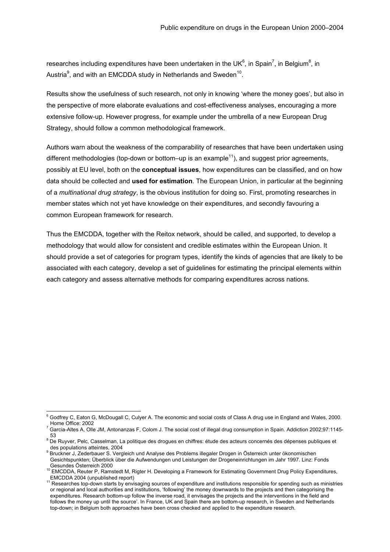researches including expenditures have been undertaken in the UK<sup>6</sup>[,](#page-4-1) in Spain<sup>7</sup>, in Belgiu[m](#page-4-2)<sup>8</sup>, in Austria $^9$ [,](#page-4-3) and with an EMCDDA study in Netherlands and Sweden<sup>10</sup>.

Results show the usefulness of such research, not only in knowing 'where the money goes', but also in the perspective of more elaborate evaluations and cost-effectiveness analyses, encouraging a more extensive follow-up. However progress, for example under the umbrella of a new European Drug Strategy, should follow a common methodological framework.

Authors warn about the weakness of the comparability of researches that have been undertaken using different methodologies (top-down or bottom–up is an example<sup>11</sup>), and suggest prior agreements, possibly at EU level, both on the **conceptual issues**, how expenditures can be classified, and on how data should be collected and **used for estimation**. The European Union, in particular at the beginning of a *multinational drug strategy*, is the obvious institution for doing so. First, promoting researches in member states which not yet have knowledge on their expenditures, and secondly favouring a common European framework for research.

Thus the EMCDDA, together with the Reitox network, should be called, and supported, to develop a methodology that would allow for consistent and credible estimates within the European Union. It should provide a set of categories for program types, identify the kinds of agencies that are likely to be associated with each category, develop a set of guidelines for estimating the principal elements within each category and assess alternative methods for comparing expenditures across nations.

<span id="page-4-0"></span><sup>-&</sup>lt;br>6  $6$  Godfrey C, Eaton G, McDougall C, Culyer A. The economic and social costs of Class A drug use in England and Wales, 2000.

<span id="page-4-1"></span><sup>&</sup>lt;sub>\_</sub> Home Office: 2002<br><sup>7</sup> Garcia-Altes A, Olle JM, Antonanzas F, Colom J. The social cost of illegal drug consumption in Spain. Addiction 2002;97:1145-<sub>53</sub><br><sup>8</sup> De Ruyver, Pelc, Casselman, La politique des drogues en chiffres: étude des acteurs concernés des dépenses publiques et

<span id="page-4-2"></span>des populations atteintes, 2004

<span id="page-4-3"></span><sup>&</sup>lt;sup>9</sup> Bruckner J, Zederbauer S. Vergleich und Analyse des Problems illegaler Drogen in Österreich unter ökonomischen Gesichtspunkten; Überblick über die Aufwendungen und Leistungen der Drogeneinrichtungen im Jahr 1997. Linz: Fonds Gesundes Österreich 2000<br><sup>10</sup> EMCDDA, Reuter P, Ramstedt M, Rigter H. Developing a Framework for Estimating Government Drug Policy Expenditures,

<span id="page-4-4"></span>

<span id="page-4-5"></span>EMCDDA 2004 (unpublished report) 11 Researches top-down starts by envisaging sources of expenditure and institutions responsible for spending such as ministries or regional and local authorities and institutions, 'following' the money downwards to the projects and then categorising the expenditures. Research bottom-up follow the inverse road, it envisages the projects and the interventions in the field and follows the money up until the source'. In France, UK and Spain there are bottom-up research, in Sweden and Netherlands top-down; in Belgium both approaches have been cross checked and applied to the expenditure research.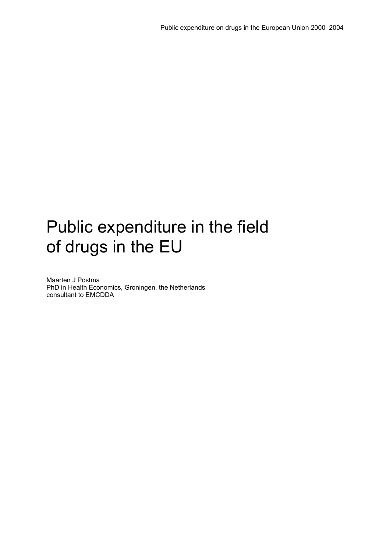# Public expenditure in the field of drugs in the EU

Maarten J Postma PhD in Health Economics, Groningen, the Netherlands consultant to EMCDDA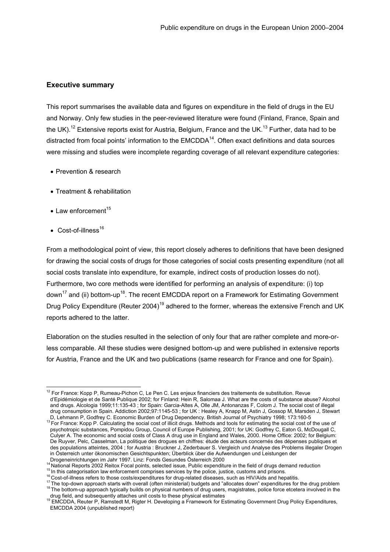# <span id="page-6-0"></span>**Executive summary**

This report summarises the available data and figures on expenditure in the field of drugs in the EU and Norway. Only few studies in the peer-reviewed literature were found (Finland, France, Spain and the UK).<sup>12</sup> Extensive reports exist for Austria, Belgium, France and the UK.<sup>13</sup> Further, data had to be distracted from focal points' information to the  $EMCDDA<sup>14</sup>$ . Often exact definitions and data sources were missing and studies were incomplete regarding coverage of all relevant expenditure categories:

- Prevention & research
- Treatment & rehabilitation
- $\bullet$  Law enforcement<sup>[15](#page-6-4)</sup>
- Cost-of-illness $16$

From a methodological point of view, this report closely adheres to definitions that have been designed for drawing the social costs of drugs for those categories of social costs presenting expenditure (not all social costs translate into expenditure, for example, indirect costs of production losses do not). Furthermore, two core methods were identified for performing an analysis of expenditure: (i) top down<sup>17</sup> and (ii) bottom-up<sup>18</sup>. The recent EMCDDA report on a Framework for Estimating Government Drug Policy Expenditure (Reuter 2004)<sup>19</sup> adhered to the former, whereas the extensive French and UK reports adhered to the latter.

Elaboration on the studies resulted in the selection of only four that are rather complete and more-orless comparable. All these studies were designed bottom-up and were published in extensive reports for Austria, France and the UK and two publications (same research for France and one for Spain).

<span id="page-6-1"></span><sup>&</sup>lt;sup>12</sup> For France: Kopp P, Rumeau-Pichon C, Le Pen C. Les enjeux financiers des traitements de substitution. Revue d'Epidémiologie et de Santé Publique 2002; for Finland: Hein R, Salomaa J. What are the costs of substance abuse? Alcohol and drugs. Alcologia 1999;11:135-43 ; for Spain: Garcia-Altes A, Olle JM, Antonanzas F, Colom J. The social cost of illegal drug consumption in Spain. Addiction 2002;97:1145-53 ; for UK : Healey A, Knapp M, Astin J, Gossop M, Marsden J, Stewart

<span id="page-6-2"></span>D, Lehmann P, Godfrey C. Economic Burden of Drug Dependency. British Journal of Psychiatry 1998; 173:160-5<br><sup>13</sup> For France: Kopp P. Calculating the social cost of illicit drugs. Methods and tools for estimating the social psychotropic substances, Pompidou Group, Council of Europe Publishing, 2001; for UK: Godfrey C, Eaton G, McDougall C, Culyer A. The economic and social costs of Class A drug use in England and Wales, 2000. Home Office: 2002; for Belgium: De Ruyver, Pelc, Casselman, La politique des drogues en chiffres: étude des acteurs concernés des dépenses publiques et des populations atteintes, 2004 ; for Austria : Bruckner J, Zederbauer S. Vergleich und Analyse des Problems illegaler Drogen in Österreich unter ökonomischen Gesichtspunkten; Überblick über die Aufwendungen und Leistungen der

<span id="page-6-3"></span>

<span id="page-6-4"></span>

<span id="page-6-7"></span><span id="page-6-6"></span><span id="page-6-5"></span>

Drogeneinrichtungen im Jahr 1997. Linz: Fonds Gesundes Österreich 2000<br><sup>14</sup> National Reports 2002 Reitox Focal points, selected issue, Public expenditure in the field of drugs demand reduction<br><sup>15</sup> In this categorisation l

<span id="page-6-8"></span>drug field, and subsequently attaches unit costs to these physical estimating Government Drug Policy Expenditures, EMCDDA 2004 (unpublished report)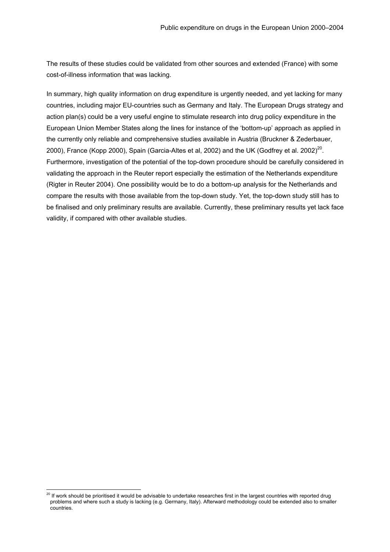The results of these studies could be validated from other sources and extended (France) with some cost-of-illness information that was lacking.

In summary, high quality information on drug expenditure is urgently needed, and yet lacking for many countries, including major EU-countries such as Germany and Italy. The European Drugs strategy and action plan(s) could be a very useful engine to stimulate research into drug policy expenditure in the European Union Member States along the lines for instance of the 'bottom-up' approach as applied in the currently only reliable and comprehensive studies available in Austria (Bruckner & Zederbauer, 2000), France (Kopp 2000), Spain (Garcia-Altes et al, 2002) and the UK (Godfrey et al. 2002)<sup>20</sup>. Furthermore, investigation of the potential of the top-down procedure should be carefully considered in validating the approach in the Reuter report especially the estimation of the Netherlands expenditure (Rigter in Reuter 2004). One possibility would be to do a bottom-up analysis for the Netherlands and compare the results with those available from the top-down study. Yet, the top-down study still has to be finalised and only preliminary results are available. Currently, these preliminary results yet lack face validity, if compared with other available studies.

<span id="page-7-0"></span> $20$  If work should be prioritised it would be advisable to undertake researches first in the largest countries with reported drug problems and where such a study is lacking (e.g. Germany, Italy). Afterward methodology could be extended also to smaller countries.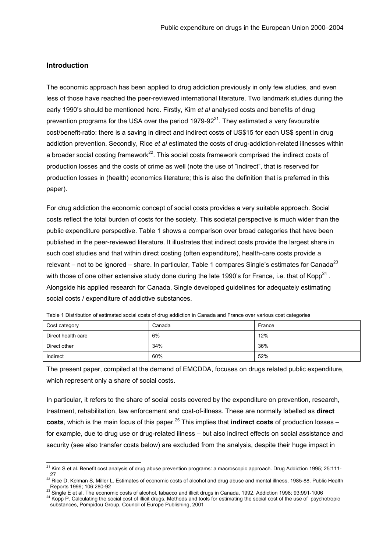### <span id="page-8-0"></span>**Introduction**

The economic approach has been applied to drug addiction previously in only few studies, and even less of those have reached the peer-reviewed international literature. Two landmark studies during the early 1990's should be mentioned here. Firstly, Kim *et al* analysed costs and benefits of drug prevention programs for the USA over the period  $1979-92<sup>21</sup>$ . They estimated a very favourable cost/benefit-ratio: there is a saving in direct and indirect costs of US\$15 for each US\$ spent in drug addiction prevention. Secondly, Rice *et al* estimated the costs of drug-addiction-related illnesses within a broader social costing framework<sup>22</sup>. This social costs framework comprised the indirect costs of production losses and the costs of crime as well (note the use of "indirect", that is reserved for production losses in (health) economics literature; this is also the definition that is preferred in this paper).

For drug addiction the economic concept of social costs provides a very suitable approach. Social costs reflect the total burden of costs for the society. This societal perspective is much wider than the public expenditure perspective. Table 1 shows a comparison over broad categories that have been published in the peer-reviewed literature. It illustrates that indirect costs provide the largest share in such cost studies and that within direct costing (often expenditure), health-care costs provide a relevant – not to be ignored – share. In particular, Table 1 compares Single's estimates for Canada<sup>[23](#page-8-3)</sup> with those of one other extensive study done during the late 1990's for France, i.e. that of Kopp<sup>24</sup>. Alongside his applied research for Canada, Single developed guidelines for adequately estimating social costs / expenditure of addictive substances.

| Cost category      | Canada | France |  |
|--------------------|--------|--------|--|
| Direct health care | 6%     | 12%    |  |
| Direct other       | 34%    | 36%    |  |
| Indirect           | 60%    | 52%    |  |

Table 1 Distribution of estimated social costs of drug addiction in Canada and France over various cost categories

The present paper, compiled at the demand of EMCDDA, focuses on drugs related public expenditure, which represent only a share of social costs.

In particular, it refers to the share of social costs covered by the expenditure on prevention, research, treatment, rehabilitation, law enforcement and cost-of-illness. These are normally labelled as **direct costs**, which is the main focus of this paper.<sup>25</sup> This implies that **indirect costs** of production losses – for example, due to drug use or drug-related illness – but also indirect effects on social assistance and security (see also transfer costs below) are excluded from the analysis, despite their huge impact in

<span id="page-8-1"></span><sup>&</sup>lt;sup>21</sup> Kim S et al. Benefit cost analysis of drug abuse prevention programs: a macroscopic approach. Drug Addiction 1995; 25:111-

<span id="page-8-2"></span><sup>27&</sup>lt;br><sup>22</sup> Rice D, Kelman S, Miller L. Estimates of economic costs of alcohol and drug abuse and mental illness, 1985-88. Public Health Reports 1999; 106:280-92<br><sup>23</sup> Single E et al. The economic costs of alcohol, tabacco and illicit drugs in Canada, 1992. Addiction 1998; 93:991-1006<br><sup>24</sup> Kopp P. Calculating the social cost of illicit drugs. Methods and too

<span id="page-8-3"></span>

<span id="page-8-5"></span><span id="page-8-4"></span>substances, Pompidou Group, Council of Europe Publishing, 2001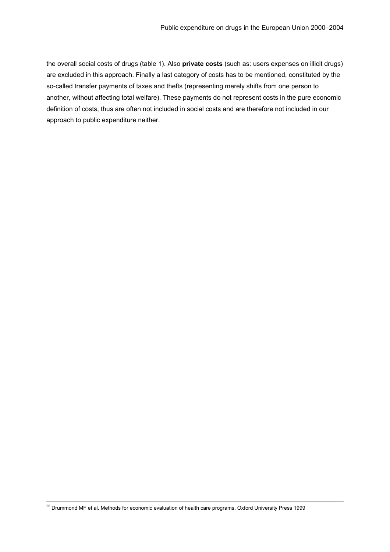the overall social costs of drugs (table 1). Also **private costs** (such as: users expenses on illicit drugs) are excluded in this approach. Finally a last category of costs has to be mentioned, constituted by the so-called transfer payments of taxes and thefts (representing merely shifts from one person to another, without affecting total welfare). These payments do not represent costs in the pure economic definition of costs, thus are often not included in social costs and are therefore not included in our approach to public expenditure neither.

<sup>25</sup> Drummond MF et al. Methods for economic evaluation of health care programs. Oxford University Press 1999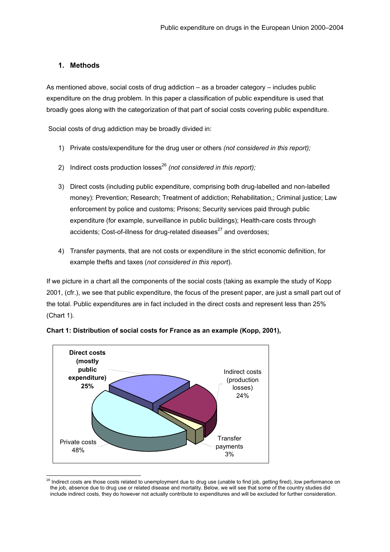# <span id="page-10-0"></span>**1. Methods**

As mentioned above, social costs of drug addiction – as a broader category – includes public expenditure on the drug problem. In this paper a classification of public expenditure is used that broadly goes along with the categorization of that part of social costs covering public expenditure.

Social costs of drug addiction may be broadly divided in:

- 1) Private costs/expenditure for the drug user or others *(not considered in this report);*
- 2) Indirect costs production losses<sup>[26](#page-10-1)</sup> (not considered in this report);
- 3) Direct costs (including public expenditure, comprising both drug-labelled and non-labelled money): Prevention; Research; Treatment of addiction; Rehabilitation,; Criminal justice; Law enforcement by police and customs; Prisons; Security services paid through public expenditure (for example, surveillance in public buildings); Health-care costs through accidents; Cost-of-illness for drug-related diseases<sup>27</sup> and overdoses;
- 4) Transfer payments, that are not costs or expenditure in the strict economic definition, for example thefts and taxes (*not considered in this report*).

If we picture in a chart all the components of the social costs (taking as example the study of Kopp 2001, (cfr.), we see that public expenditure, the focus of the present paper, are just a small part out of the total. Public expenditures are in fact included in the direct costs and represent less than 25% (Chart 1).



**Chart 1: Distribution of social costs for France as an example (Kopp, 2001),** 

<span id="page-10-2"></span><span id="page-10-1"></span><sup>&</sup>lt;sup>26</sup> Indirect costs are those costs related to unemployment due to drug use (unable to find job, getting fired), low performance on the job, absence due to drug use or related disease and mortality. Below, we will see that some of the country studies did include indirect costs, they do however not actually contribute to expenditures and will be excluded for further consideration.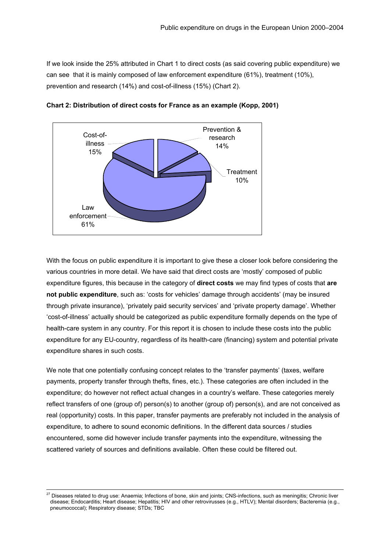If we look inside the 25% attributed in Chart 1 to direct costs (as said covering public expenditure) we can see that it is mainly composed of law enforcement expenditure (61%), treatment (10%), prevention and research (14%) and cost-of-illness (15%) (Chart 2).



**Chart 2: Distribution of direct costs for France as an example (Kopp, 2001)** 

With the focus on public expenditure it is important to give these a closer look before considering the various countries in more detail. We have said that direct costs are 'mostly' composed of public expenditure figures, this because in the category of **direct costs** we may find types of costs that **are not public expenditure**, such as: 'costs for vehicles' damage through accidents' (may be insured through private insurance), 'privately paid security services' and 'private property damage'. Whether 'cost-of-illness' actually should be categorized as public expenditure formally depends on the type of health-care system in any country. For this report it is chosen to include these costs into the public expenditure for any EU-country, regardless of its health-care (financing) system and potential private expenditure shares in such costs.

We note that one potentially confusing concept relates to the 'transfer payments' (taxes, welfare payments, property transfer through thefts, fines, etc.). These categories are often included in the expenditure; do however not reflect actual changes in a country's welfare. These categories merely reflect transfers of one (group of) person(s) to another (group of) person(s), and are not conceived as real (opportunity) costs. In this paper, transfer payments are preferably not included in the analysis of expenditure, to adhere to sound economic definitions. In the different data sources / studies encountered, some did however include transfer payments into the expenditure, witnessing the scattered variety of sources and definitions available. Often these could be filtered out.

<sup>&</sup>lt;sup>27</sup> Diseases related to drug use: Anaemia; Infections of bone, skin and joints; CNS-infections, such as meningitis; Chronic liver disease; Endocarditis; Heart disease; Hepatitis; HIV and other retrovirusses (e.g., HTLV); Mental disorders; Bacteremia (e.g., pneumococcal); Respiratory disease; STDs; TBC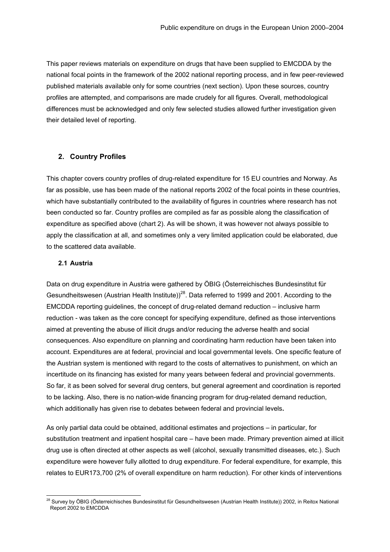<span id="page-12-0"></span>This paper reviews materials on expenditure on drugs that have been supplied to EMCDDA by the national focal points in the framework of the 2002 national reporting process, and in few peer-reviewed published materials available only for some countries (next section). Upon these sources, country profiles are attempted, and comparisons are made crudely for all figures. Overall, methodological differences must be acknowledged and only few selected studies allowed further investigation given their detailed level of reporting.

# **2. Country Profiles**

This chapter covers country profiles of drug-related expenditure for 15 EU countries and Norway. As far as possible, use has been made of the national reports 2002 of the focal points in these countries, which have substantially contributed to the availability of figures in countries where research has not been conducted so far. Country profiles are compiled as far as possible along the classification of expenditure as specified above (chart 2). As will be shown, it was however not always possible to apply the classification at all, and sometimes only a very limited application could be elaborated, due to the scattered data available.

#### **2.1 Austria**

Data on drug expenditure in Austria were gathered by ÖBIG (Österreichisches Bundesinstitut für Gesundheitswesen (Austrian Health Institute))<sup>28</sup>. Data referred to 1999 and 2001. According to the EMCDDA reporting guidelines, the concept of drug-related demand reduction – inclusive harm reduction - was taken as the core concept for specifying expenditure, defined as those interventions aimed at preventing the abuse of illicit drugs and/or reducing the adverse health and social consequences. Also expenditure on planning and coordinating harm reduction have been taken into account. Expenditures are at federal, provincial and local governmental levels. One specific feature of the Austrian system is mentioned with regard to the costs of alternatives to punishment, on which an incertitude on its financing has existed for many years between federal and provincial governments. So far, it as been solved for several drug centers, but general agreement and coordination is reported to be lacking. Also, there is no nation-wide financing program for drug-related demand reduction, which additionally has given rise to debates between federal and provincial levels**.**

As only partial data could be obtained, additional estimates and projections – in particular, for substitution treatment and inpatient hospital care – have been made. Primary prevention aimed at illicit drug use is often directed at other aspects as well (alcohol, sexually transmitted diseases, etc.). Such expenditure were however fully allotted to drug expenditure. For federal expenditure, for example, this relates to EUR173,700 (2% of overall expenditure on harm reduction). For other kinds of interventions

<span id="page-12-1"></span><sup>&</sup>lt;sup>28</sup> Survey by ÖBIG (Österreichisches Bundesinstitut für Gesundheitswesen (Austrian Health Institute)) 2002, in Reitox National Report 2002 to EMCDDA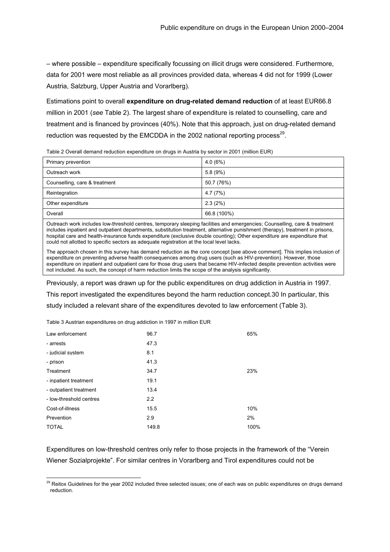– where possible – expenditure specifically focussing on illicit drugs were considered. Furthermore, data for 2001 were most reliable as all provinces provided data, whereas 4 did not for 1999 (Lower Austria, Salzburg, Upper Austria and Vorarlberg).

Estimations point to overall **expenditure on drug-related demand reduction** of at least EUR66.8 million in 2001 (*see* Table 2). The largest share of expenditure is related to counselling, care and treatment and is financed by provinces (40%). Note that this approach, just on drug-related demand reduction was requested by the EMCDDA in the 2002 national reporting process<sup>29</sup>.

| Primary prevention            | 4.0(6%)     |
|-------------------------------|-------------|
| Outreach work                 | 5.8(9%)     |
| Counselling, care & treatment | 50.7 (76%)  |
| Reintegration                 | 4.7(7%)     |
| Other expenditure             | 2.3(2%)     |
| Overall                       | 66.8 (100%) |

Table 2 Overall demand reduction expenditure on drugs in Austria by sector in 2001 (million EUR)

Outreach work includes low-threshold centres, temporary sleeping facilities and emergencies; Counselling, care & treatment includes inpatient and outpatient departments, substitution treatment, alternative punishment (therapy), treatment in prisons, hospital care and health-insurance funds expenditure (exclusive double counting); Other expenditure are expenditure that could not allotted to specific sectors as adequate registration at the local level lacks.

The approach chosen in this survey has demand reduction as the core concept [see above comment]. This implies inclusion of expenditure on preventing adverse health consequences among drug users (such as HIV-prevention). However, those expenditure on inpatient and outpatient care for those drug users that became HIV-infected despite prevention activities were not included. As such, the concept of harm reduction limits the scope of the analysis significantly.

Previously, a report was drawn up for the public expenditures on drug addiction in Austria in 1997. This report investigated the expenditures beyond the harm reduction concept[.30](#page-13-1) In particular, this study included a relevant share of the expenditures devoted to law enforcement (Table 3).

Table 3 Austrian expenditures on drug addiction in 1997 in million EUR

| Law enforcement         | 96.7  | 65%  |
|-------------------------|-------|------|
| - arrests               | 47.3  |      |
| - judicial system       | 8.1   |      |
| - prison                | 41.3  |      |
| Treatment               | 34.7  | 23%  |
| - inpatient treatment   | 19.1  |      |
| - outpatient treatment  | 13.4  |      |
| - low-threshold centres | 2.2   |      |
| Cost-of-illness         | 15.5  | 10%  |
| Prevention              | 2.9   | 2%   |
| <b>TOTAL</b>            | 149.8 | 100% |

Expenditures on low-threshold centres only refer to those projects in the framework of the "Verein Wiener Sozialprojekte". For similar centres in Vorarlberg and Tirol expenditures could not be

<span id="page-13-1"></span><span id="page-13-0"></span><sup>&</sup>lt;sup>29</sup> Reitox Guidelines for the year 2002 included three selected issues; one of each was on public expenditures on drugs demand reduction.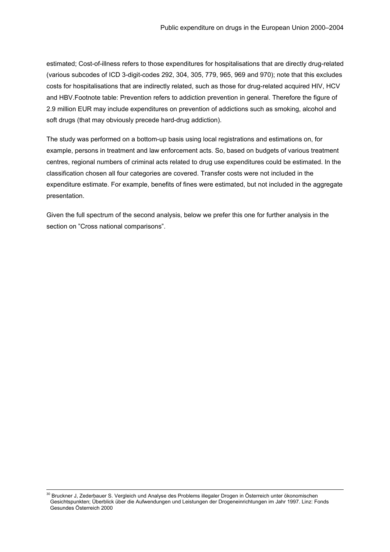estimated; Cost-of-illness refers to those expenditures for hospitalisations that are directly drug-related (various subcodes of ICD 3-digit-codes 292, 304, 305, 779, 965, 969 and 970); note that this excludes costs for hospitalisations that are indirectly related, such as those for drug-related acquired HIV, HCV and HBV.Footnote table: Prevention refers to addiction prevention in general. Therefore the figure of 2.9 million EUR may include expenditures on prevention of addictions such as smoking, alcohol and soft drugs (that may obviously precede hard-drug addiction).

The study was performed on a bottom-up basis using local registrations and estimations on, for example, persons in treatment and law enforcement acts. So, based on budgets of various treatment centres, regional numbers of criminal acts related to drug use expenditures could be estimated. In the classification chosen all four categories are covered. Transfer costs were not included in the expenditure estimate. For example, benefits of fines were estimated, but not included in the aggregate presentation.

Given the full spectrum of the second analysis, below we prefer this one for further analysis in the section on "Cross national comparisons".

<sup>&</sup>lt;sup>30</sup> Bruckner J, Zederbauer S. Vergleich und Analyse des Problems illegaler Drogen in Österreich unter ökonomischen Gesichtspunkten; Überblick über die Aufwendungen und Leistungen der Drogeneinrichtungen im Jahr 1997. Linz: Fonds Gesundes Österreich 2000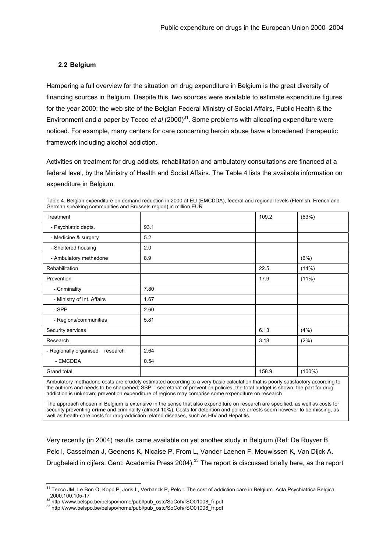# <span id="page-15-0"></span>**2.2 Belgium**

Hampering a full overview for the situation on drug expenditure in Belgium is the great diversity of financing sources in Belgium. Despite this, two sources were available to estimate expenditure figures for the year 2000: the web site of the Belgian Federal Ministry of Social Affairs, Public Health & the Environment and a paper by Tecco *et al* (2000)<sup>31</sup>. Some problems with allocating expenditure were noticed. For example, many centers for care concerning heroin abuse have a broadened therapeutic framework including alcohol addiction.

Activities on treatment for drug addicts, rehabilitation and ambulatory consultations are financed at a federal level, by the Ministry of Health and Social Affairs. The Table 4 lists the available information on expenditure in Belgium.

| Treatment                          |      | 109.2 | (63%)     |
|------------------------------------|------|-------|-----------|
| - Psychiatric depts.               | 93.1 |       |           |
| - Medicine & surgery               | 5.2  |       |           |
| - Sheltered housing                | 2.0  |       |           |
| - Ambulatory methadone             | 8.9  |       | (6%)      |
| Rehabilitation                     |      | 22.5  | (14%)     |
| Prevention                         |      | 17.9  | (11%)     |
| - Criminality                      | 7.80 |       |           |
| - Ministry of Int. Affairs         | 1.67 |       |           |
| - SPP                              | 2.60 |       |           |
| - Regions/communities              | 5.81 |       |           |
| Security services                  |      | 6.13  | (4% )     |
| Research                           |      | 3.18  | (2%)      |
| - Regionally organised<br>research | 2.64 |       |           |
| - EMCDDA                           | 0.54 |       |           |
| Grand total                        |      | 158.9 | $(100\%)$ |

Table 4. Belgian expenditure on demand reduction in 2000 at EU (EMCDDA), federal and regional levels (Flemish, French and German speaking communities and Brussels region) in million EUR

Ambulatory methadone costs are crudely estimated according to a very basic calculation that is poorly satisfactory according to the authors and needs to be sharpened; SSP = secretariat of prevention policies, the total budget is shown, the part for drug addiction is unknown; prevention expenditure of regions may comprise some expenditure on research

The approach chosen in Belgium is extensive in the sense that also expenditure on research are specified, as well as costs for security preventing **crime** and criminality (almost 10%). Costs for detention and police arrests seem however to be missing, as well as health-care costs for drug-addiction related diseases, such as HIV and Hepatitis.

Very recently (in 2004) results came available on yet another study in Belgium (Ref: De Ruyver B, Pelc I, Casselman J, Geenens K, Nicaise P, From L, Vander Laenen F, Meuwissen K, Van Dijck A. Drugbeleid in cijfers. Gent: Academia Press 2004).<sup>33</sup> The report is discussed briefly here, as the report

<span id="page-15-1"></span><sup>&</sup>lt;sup>31</sup> Tecco JM, Le Bon O, Kopp P, Joris L, Verbanck P, Pelc I. The cost of addiction care in Belgium. Acta Psychiatrica Belgica 2000;100:105-17<br>
<sup>32</sup> http://www.belspo.be/belspo/home/publ/pub\_ostc/SoCoh/rSO01008\_fr.pdf<br>
<sup>33</sup> http://www.belspo.be/belspo/home/publ/pub\_ostc/SoCoh/rSO01008\_fr.pdf<br>
<sup>33</sup> http://www.belspo.be/belspo/home/publ/pub\_ostc/SoC

<span id="page-15-2"></span>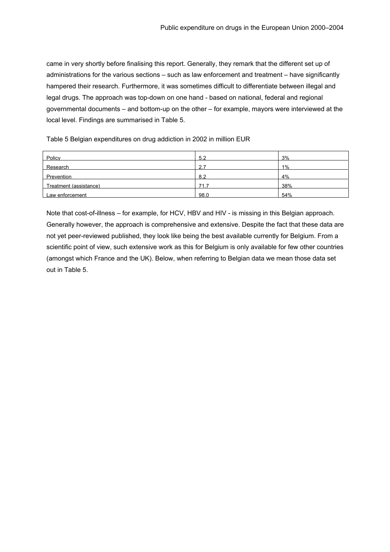came in very shortly before finalising this report. Generally, they remark that the different set up of administrations for the various sections – such as law enforcement and treatment – have significantly hampered their research. Furthermore, it was sometimes difficult to differentiate between illegal and legal drugs. The approach was top-down on one hand - based on national, federal and regional governmental documents – and bottom-up on the other – for example, mayors were interviewed at the local level. Findings are summarised in Table 5.

Table 5 Belgian expenditures on drug addiction in 2002 in million EUR

| Policy                 | 5.2  | 3%    |
|------------------------|------|-------|
| Research               | ົ    | $1\%$ |
| Prevention             | 8.2  | 4%    |
| Treatment (assistance) | 71   | 38%   |
| Law enforcement        | 98.0 | 54%   |

Note that cost-of-illness – for example, for HCV, HBV and HIV - is missing in this Belgian approach. Generally however, the approach is comprehensive and extensive. Despite the fact that these data are not yet peer-reviewed published, they look like being the best available currently for Belgium. From a scientific point of view, such extensive work as this for Belgium is only available for few other countries (amongst which France and the UK). Below, when referring to Belgian data we mean those data set out in Table 5.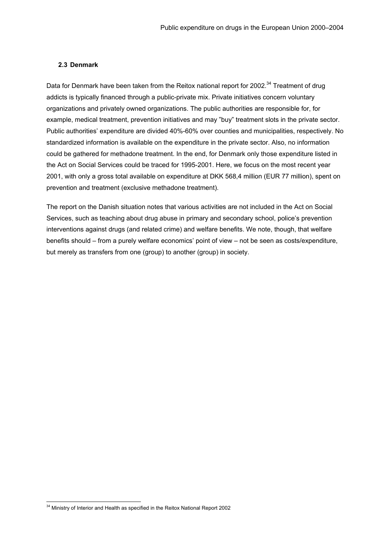#### <span id="page-17-0"></span>**2.3 Denmark**

Data for Denmark have been taken from the Reitox national report for 2002.<sup>34</sup> Treatment of drug addicts is typically financed through a public-private mix. Private initiatives concern voluntary organizations and privately owned organizations. The public authorities are responsible for, for example, medical treatment, prevention initiatives and may "buy" treatment slots in the private sector. Public authorities' expenditure are divided 40%-60% over counties and municipalities, respectively. No standardized information is available on the expenditure in the private sector. Also, no information could be gathered for methadone treatment. In the end, for Denmark only those expenditure listed in the Act on Social Services could be traced for 1995-2001. Here, we focus on the most recent year 2001, with only a gross total available on expenditure at DKK 568,4 million (EUR 77 million), spent on prevention and treatment (exclusive methadone treatment).

The report on the Danish situation notes that various activities are not included in the Act on Social Services, such as teaching about drug abuse in primary and secondary school, police's prevention interventions against drugs (and related crime) and welfare benefits. We note, though, that welfare benefits should – from a purely welfare economics' point of view – not be seen as costs/expenditure, but merely as transfers from one (group) to another (group) in society.

<span id="page-17-1"></span><sup>&</sup>lt;sup>34</sup> Ministry of Interior and Health as specified in the Reitox National Report 2002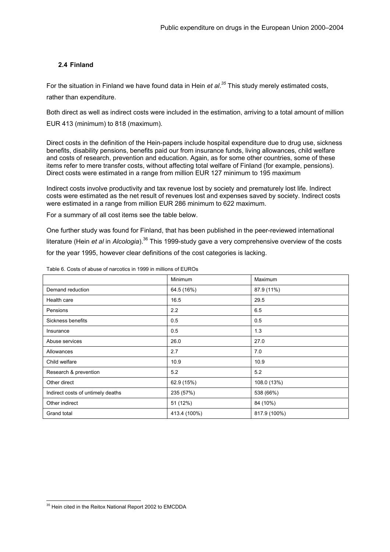# <span id="page-18-0"></span>**2.4 Finland**

For the situation in Finland we have found data in Hein *et al*. *[35](#page-18-1)* This study merely estimated costs, rather than expenditure.

Both direct as well as indirect costs were included in the estimation, arriving to a total amount of million EUR 413 (minimum) to 818 (maximum).

Direct costs in the definition of the Hein-papers include hospital expenditure due to drug use, sickness benefits, disability pensions, benefits paid our from insurance funds, living allowances, child welfare and costs of research, prevention and education. Again, as for some other countries, some of these items refer to mere transfer costs, without affecting total welfare of Finland (for example, pensions). Direct costs were estimated in a range from million EUR 127 minimum to 195 maximum

Indirect costs involve productivity and tax revenue lost by society and prematurely lost life. Indirect costs were estimated as the net result of revenues lost and expenses saved by society. Indirect costs were estimated in a range from million EUR 286 minimum to 622 maximum.

For a summary of all cost items see the table below.

One further study was found for Finland, that has been published in the peer-reviewed international literature (Hein *et al* in *Alcologia*)[.36](#page-18-2) This 1999-study gave a very comprehensive overview of the costs for the year 1995, however clear definitions of the cost categories is lacking.

|                                   | Minimum      | Maximum      |
|-----------------------------------|--------------|--------------|
| Demand reduction                  | 64.5 (16%)   | 87.9 (11%)   |
| Health care                       | 16.5         | 29.5         |
| Pensions                          | 2.2          | 6.5          |
| Sickness benefits                 | 0.5          | 0.5          |
| Insurance                         | 0.5          | 1.3          |
| Abuse services                    | 26.0         | 27.0         |
| Allowances                        | 2.7          | 7.0          |
| Child welfare                     | 10.9         | 10.9         |
| Research & prevention             | 5.2          | 5.2          |
| Other direct                      | 62.9 (15%)   | 108.0 (13%)  |
| Indirect costs of untimely deaths | 235 (57%)    | 538 (66%)    |
| Other indirect                    | 51 (12%)     | 84 (10%)     |
| Grand total                       | 413.4 (100%) | 817.9 (100%) |

Table 6. Costs of abuse of narcotics in 1999 in millions of EUROs

<span id="page-18-2"></span><span id="page-18-1"></span><sup>&</sup>lt;sup>35</sup> Hein cited in the Reitox National Report 2002 to EMCDDA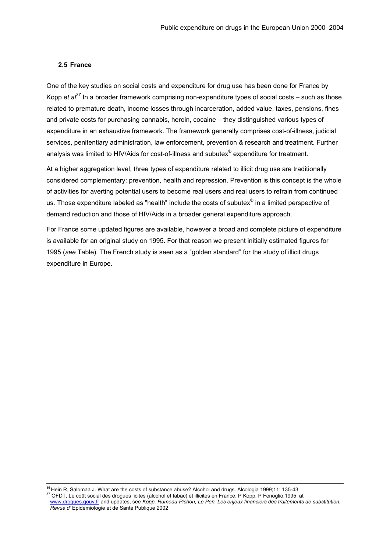#### <span id="page-19-0"></span>**2.5 France**

One of the key studies on social costs and expenditure for drug use has been done for France by Kopp *et al[37](#page-19-1)* In a broader framework comprising non-expenditure types of social costs – such as those related to premature death, income losses through incarceration, added value, taxes, pensions, fines and private costs for purchasing cannabis, heroin, cocaine – they distinguished various types of expenditure in an exhaustive framework. The framework generally comprises cost-of-illness, judicial services, penitentiary administration, law enforcement, prevention & research and treatment. Further analysis was limited to HIV/Aids for cost-of-illness and subutex® expenditure for treatment.

At a higher aggregation level, three types of expenditure related to illicit drug use are traditionally considered complementary: prevention, health and repression. Prevention is this concept is the whole of activities for averting potential users to become real users and real users to refrain from continued us. Those expenditure labeled as "health" include the costs of subutex® in a limited perspective of demand reduction and those of HIV/Aids in a broader general expenditure approach.

For France some updated figures are available, however a broad and complete picture of expenditure is available for an original study on 1995. For that reason we present initially estimated figures for 1995 (*see* Table). The French study is seen as a "golden standard" for the study of illicit drugs expenditure in Europe.

<sup>36</sup> Hein R, Salomaa J. What are the costs of substance abuse? Alcohol and drugs. Alcologia 1999;11: 135-43<br><sup>37</sup> OFDT, Le coût social des drogues licites (alcohol et tabac) et illicites en France, P Kopp, P Fenoglio,1995 a

<span id="page-19-1"></span>

[www.drogues.gouv.fr](http://www.drogues.gouv.fr/) and updates, see *Kopp, Rumeau-Pichon, Le Pen. Les enjeux financiers des traitements de substitution. Revue d'* Epidémiologie et de Santé Publique 2002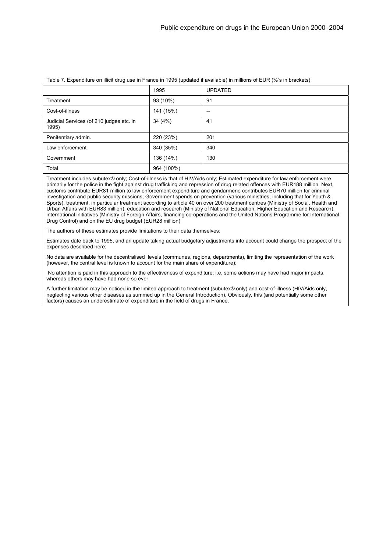|                                                   | 1995       | <b>UPDATED</b>    |
|---------------------------------------------------|------------|-------------------|
| Treatment                                         | 93 (10%)   | 91                |
| Cost-of-illness                                   | 141 (15%)  | $\hspace{0.05cm}$ |
| Judicial Services (of 210 judges etc. in<br>1995) | 34 (4%)    | 41                |
| Penitentiary admin.                               | 220 (23%)  | 201               |
| Law enforcement                                   | 340 (35%)  | 340               |
| Government                                        | 136 (14%)  | 130               |
| Total                                             | 964 (100%) |                   |

#### Table 7. Expenditure on illicit drug use in France in 1995 (updated if available) in millions of EUR (%'s in brackets)

Treatment includes subutex® only; Cost-of-illness is that of HIV/Aids only; Estimated expenditure for law enforcement were primarily for the police in the fight against drug trafficking and repression of drug related offences with EUR188 million. Next, customs contribute EUR81 million to law enforcement expenditure and gendarmerie contributes EUR70 million for criminal investigation and public security missions; Government spends on prevention (various ministries, including that for Youth & Sports), treatment, in particular treatment according to article 40 on over 200 treatment centres (Ministry of Social, Health and Urban Affairs with EUR83 million), education and research (Ministry of National Education, Higher Education and Research), international initiatives (Ministry of Foreign Affairs, financing co-operations and the United Nations Programme for International Drug Control) and on the EU drug budget (EUR28 million)

The authors of these estimates provide limitations to their data themselves:

Estimates date back to 1995, and an update taking actual budgetary adjustments into account could change the prospect of the expenses described here;

No data are available for the decentralised levels (communes, regions, departments), limiting the representation of the work (however, the central level is known to account for the main share of expenditure);

 No attention is paid in this approach to the effectiveness of expenditure; i.e. some actions may have had major impacts, whereas others may have had none so ever.

A further limitation may be noticed in the limited approach to treatment (subutex® only) and cost-of-illness (HIV/Aids only, neglecting various other diseases as summed up in the General Introduction). Obviously, this (and potentially some other factors) causes an underestimate of expenditure in the field of drugs in France.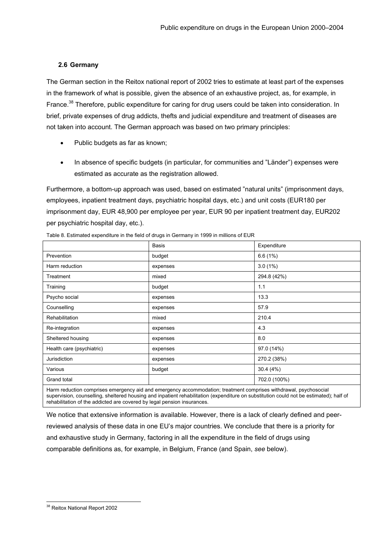# <span id="page-21-0"></span>**2.6 Germany**

The German section in the Reitox national report of 2002 tries to estimate at least part of the expenses in the framework of what is possible, given the absence of an exhaustive project, as, for example, in France.<sup>38</sup> Therefore, public expenditure for caring for drug users could be taken into consideration. In brief, private expenses of drug addicts, thefts and judicial expenditure and treatment of diseases are not taken into account. The German approach was based on two primary principles:

- Public budgets as far as known:
- In absence of specific budgets (in particular, for communities and "Länder") expenses were estimated as accurate as the registration allowed.

Furthermore, a bottom-up approach was used, based on estimated "natural units" (imprisonment days, employees, inpatient treatment days, psychiatric hospital days, etc.) and unit costs (EUR180 per imprisonment day, EUR 48,900 per employee per year, EUR 90 per inpatient treatment day, EUR202 per psychiatric hospital day, etc.).

|                                                                                                                  | <b>Basis</b> | Expenditure  |  |
|------------------------------------------------------------------------------------------------------------------|--------------|--------------|--|
| Prevention                                                                                                       | budget       | 6.6(1%)      |  |
| Harm reduction                                                                                                   | expenses     | $3.0(1\%)$   |  |
| Treatment                                                                                                        | mixed        | 294.8 (42%)  |  |
| Training                                                                                                         | budget       | 1.1          |  |
| Psycho social                                                                                                    | expenses     | 13.3         |  |
| Counselling                                                                                                      | expenses     | 57.9         |  |
| <b>Rehabilitation</b>                                                                                            | mixed        | 210.4        |  |
| Re-integration                                                                                                   | expenses     | 4.3          |  |
| Sheltered housing                                                                                                | expenses     | 8.0          |  |
| Health care (psychiatric)                                                                                        | expenses     | 97.0 (14%)   |  |
| Jurisdiction                                                                                                     | expenses     | 270.2 (38%)  |  |
| Various                                                                                                          | budget       | 30.4(4%)     |  |
| Grand total                                                                                                      |              | 702.0 (100%) |  |
| Harm reduction comprises emergency aid and emergency accommodation: treatment comprises withdrawal, psychosocial |              |              |  |

Table 8. Estimated expenditure in the field of drugs in Germany in 1999 in millions of EUR

Harm reduction comprises emergency aid and emergency accommodation; treatment comprises withdrawal, psychosocial supervision, counselling, sheltered housing and inpatient rehabilitation (expenditure on substitution could not be estimated); half of rehabilitation of the addicted are covered by legal pension insurances.

We notice that extensive information is available. However, there is a lack of clearly defined and peerreviewed analysis of these data in one EU's major countries. We conclude that there is a priority for and exhaustive study in Germany, factoring in all the expenditure in the field of drugs using comparable definitions as, for example, in Belgium, France (and Spain, *see* below).

<span id="page-21-1"></span><sup>&</sup>lt;sup>38</sup> Reitox National Report 2002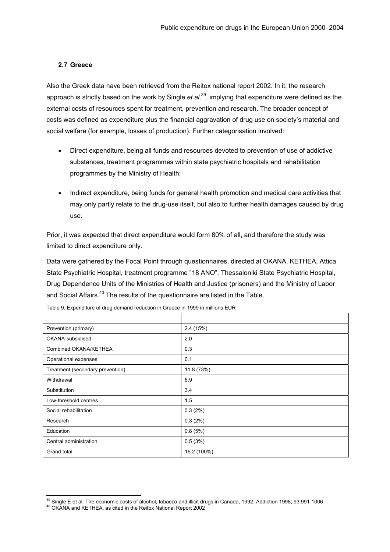#### <span id="page-22-0"></span>**2.7 Greece**

Also the Greek data have been retrieved from the Reitox national report 2002. In it, the research approach is strictly based on the work by Single *et al*. [39,](#page-22-1) implying that expenditure were defined as the external costs of resources spent for treatment, prevention and research. The broader concept of costs was defined as expenditure plus the financial aggravation of drug use on society's material and social welfare (for example, losses of production). Further categorisation involved:

- Direct expenditure, being all funds and resources devoted to prevention of use of addictive substances, treatment programmes within state psychiatric hospitals and rehabilitation programmes by the Ministry of Health; •
- Indirect expenditure, being funds for general health promotion and medical care activities that may only partly relate to the drug-use itself, but also to further health damages caused by drug use.

Prior, it was expected that direct expenditure would form 80% of all, and therefore the study was limited to direct expenditure only.

Data were gathered by the Focal Point through questionnaires, directed at OKANA, KETHEA, Attica State Psychiatric Hospital, treatment programme "18 ANO", Thessaloniki State Psychiatric Hospital, Drug Dependence Units of the Ministries of Health and Justice (prisoners) and the Ministry of Labor and Social Affairs.<sup>40</sup> The results of the questionnaire are listed in the Table.

| Prevention (primary)             | 2.4(15%)    |
|----------------------------------|-------------|
| OKANA-subsidised                 | 2.0         |
| Combined OKANA/KETHEA            | 0.3         |
| Operational expenses             | 0.1         |
| Treatment (secondary prevention) | 11.8 (73%)  |
| Withdrawal                       | 6.9         |
| Substitution                     | 3.4         |
| Low-threshold centres            | 1.5         |
| Social rehabilitation            | 0.3(2%)     |
| Research                         | 0.3(2%)     |
| Education                        | 0.8(5%)     |
| Central administration           | 0.5(3%)     |
| Grand total                      | 16.2 (100%) |

Table 9. Expenditure of drug demand reduction in Greece in 1999 in millions EUR

<span id="page-22-1"></span><sup>&</sup>lt;sup>39</sup> Single E et al. The economic costs of alcohol, tobacco and illicit drugs in Canada, 1992. Addiction 1998; 93:991-1006  $^{40}$  OKANA and KETHEA, as cited in the Reitox National Report 2002

<span id="page-22-2"></span>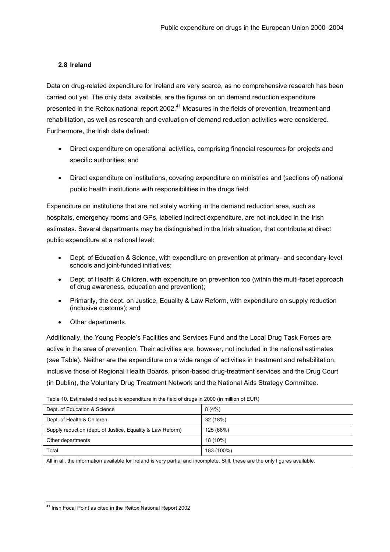# <span id="page-23-0"></span>**2.8 Ireland**

Data on drug-related expenditure for Ireland are very scarce, as no comprehensive research has been carried out yet. The only data available, are the figures on on demand reduction expenditure presented in the Reitox national report 2002.<sup>41</sup> Measures in the fields of prevention, treatment and rehabilitation, as well as research and evaluation of demand reduction activities were considered. Furthermore, the Irish data defined:

- Direct expenditure on operational activities, comprising financial resources for projects and specific authorities; and
- Direct expenditure on institutions, covering expenditure on ministries and (sections of) national public health institutions with responsibilities in the drugs field.

Expenditure on institutions that are not solely working in the demand reduction area, such as hospitals, emergency rooms and GPs, labelled indirect expenditure, are not included in the Irish estimates. Several departments may be distinguished in the Irish situation, that contribute at direct public expenditure at a national level:

- Dept. of Education & Science, with expenditure on prevention at primary- and secondary-level schools and joint-funded initiatives;
- Dept. of Health & Children, with expenditure on prevention too (within the multi-facet approach of drug awareness, education and prevention);
- Primarily, the dept. on Justice, Equality & Law Reform, with expenditure on supply reduction (inclusive customs); and
- Other departments.

Additionally, the Young People's Facilities and Services Fund and the Local Drug Task Forces are active in the area of prevention. Their activities are, however, not included in the national estimates (*see* Table). Neither are the expenditure on a wide range of activities in treatment and rehabilitation, inclusive those of Regional Health Boards, prison-based drug-treatment services and the Drug Court (in Dublin), the Voluntary Drug Treatment Network and the National Aids Strategy Committee.

| Dept. of Education & Science                                                                                                   | 8(4%)     |  |
|--------------------------------------------------------------------------------------------------------------------------------|-----------|--|
| Dept. of Health & Children                                                                                                     | 32 (18%)  |  |
| Supply reduction (dept. of Justice, Equality & Law Reform)                                                                     | 125 (68%) |  |
| Other departments                                                                                                              | 18 (10%)  |  |
| Total<br>183 (100%)                                                                                                            |           |  |
| All in all, the information available for Ireland is very partial and incomplete. Still, these are the only figures available. |           |  |

Table 10. Estimated direct public expenditure in the field of drugs in 2000 (in million of EUR)

<span id="page-23-1"></span> <sup>41</sup> Irish Focal Point as cited in the Reitox National Report 2002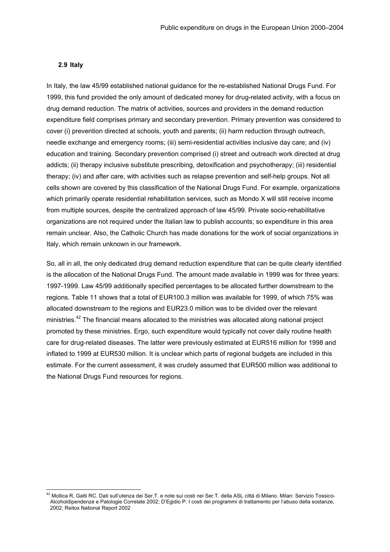#### <span id="page-24-0"></span>**2.9 Italy**

In Italy, the law 45/99 established national guidance for the re-established National Drugs Fund. For 1999, this fund provided the only amount of dedicated money for drug-related activity, with a focus on drug demand reduction. The matrix of activities, sources and providers in the demand reduction expenditure field comprises primary and secondary prevention. Primary prevention was considered to cover (i) prevention directed at schools, youth and parents; (ii) harm reduction through outreach, needle exchange and emergency rooms; (iii) semi-residential activities inclusive day care; and (iv) education and training. Secondary prevention comprised (i) street and outreach work directed at drug addicts; (ii) therapy inclusive substitute prescribing, detoxification and psychotherapy; (iii) residential therapy; (iv) and after care, with activities such as relapse prevention and self-help groups. Not all cells shown are covered by this classification of the National Drugs Fund. For example, organizations which primarily operate residential rehabilitation services, such as Mondo X will still receive income from multiple sources, despite the centralized approach of law 45/99. Private socio-rehabilitative organizations are not required under the Italian law to publish accounts; so expenditure in this area remain unclear. Also, the Catholic Church has made donations for the work of social organizations in Italy, which remain unknown in our framework.

So, all in all, the only dedicated drug demand reduction expenditure that can be quite clearly identified is the allocation of the National Drugs Fund. The amount made available in 1999 was for three years: 1997-1999. Law 45/99 additionally specified percentages to be allocated further downstream to the regions. Table 11 shows that a total of EUR100.3 million was available for 1999, of which 75% was allocated downstream to the regions and EUR23.0 million was to be divided over the relevant ministries[.42](#page-24-1) The financial means allocated to the ministries was allocated along national project promoted by these ministries. Ergo, such expenditure would typically not cover daily routine health care for drug-related diseases. The latter were previously estimated at EUR516 million for 1998 and inflated to 1999 at EUR530 million. It is unclear which parts of regional budgets are included in this estimate. For the current assessment, it was crudely assumed that EUR500 million was additional to the National Drugs Fund resources for regions.

<span id="page-24-1"></span><sup>&</sup>lt;sup>42</sup> Mollica R. Gatti RC. Dati sull'utenza dei Ser.T. e note sui costi nei Ser.T. della ASL città di Milano. Milan: Servizio Tossico-Alcoholdipendenze e Patologie Correlate 2002; D'Egidio P. I costi dei programmi di trattamento per l'abuso della sostanze, 2002; Reitox National Report 2002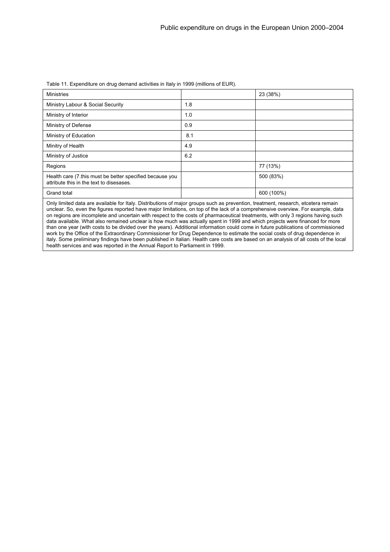| <b>Ministries</b>                                                                                                                                                                                                                                                     |     | 23 (38%)   |  |
|-----------------------------------------------------------------------------------------------------------------------------------------------------------------------------------------------------------------------------------------------------------------------|-----|------------|--|
| Ministry Labour & Social Security                                                                                                                                                                                                                                     | 1.8 |            |  |
| Ministry of Interior                                                                                                                                                                                                                                                  | 1.0 |            |  |
| Ministry of Defense                                                                                                                                                                                                                                                   | 0.9 |            |  |
| Ministry of Education                                                                                                                                                                                                                                                 | 8.1 |            |  |
| Minitry of Health                                                                                                                                                                                                                                                     | 4.9 |            |  |
| Ministry of Justice                                                                                                                                                                                                                                                   | 6.2 |            |  |
| Regions                                                                                                                                                                                                                                                               |     | 77 (13%)   |  |
| Health care (7 this must be better specified because you<br>attribute this in the text to disesases.                                                                                                                                                                  |     | 500 (83%)  |  |
| Grand total                                                                                                                                                                                                                                                           |     | 600 (100%) |  |
| Only limited data are available for Italy. Distributions of major groups such as prevention, treatment, research, etcetera remain<br>unclear. So, even the figures reported have major limitations, on top of the lack of a comprehensive overview. For example, data |     |            |  |

Table 11. Expenditure on drug demand activities in Italy in 1999 (millions of EUR).

on regions are incomplete and uncertain with respect to the costs of pharmaceutical treatments, with only 3 regions having such data available. What also remained unclear is how much was actually spent in 1999 and which projects were financed for more than one year (with costs to be divided over the years). Additional information could come in future publications of commissioned work by the Office of the Extraordinary Commissioner for Drug Dependence to estimate the social costs of drug dependence in italy. Some preliminary findings have been published in Italian. Health care costs are based on an analysis of all costs of the local health services and was reported in the Annual Report to Parliament in 1999.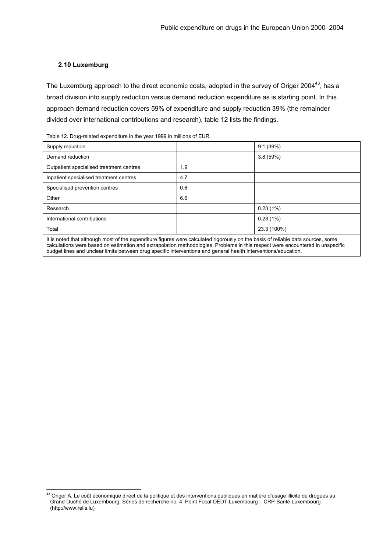#### <span id="page-26-0"></span>**2.10 Luxemburg**

The Luxemburg approach to the direct economic costs, adopted in the survey of Origer 2004<sup>43</sup>, has a broad division into supply reduction versus demand reduction expenditure as is starting point. In this approach demand reduction covers 59% of expenditure and supply reduction 39% (the remainder divided over international contributions and research), table 12 lists the findings.

| Table 12. Drug-related expenditure in the year 1999 in millions of EUR. |  |  |  |  |  |  |
|-------------------------------------------------------------------------|--|--|--|--|--|--|
|-------------------------------------------------------------------------|--|--|--|--|--|--|

| Supply reduction                         |     | 9.1(39%)    |
|------------------------------------------|-----|-------------|
| Demand reduction                         |     | 3.8(59%)    |
| Outpatient specialised treatment centres | 1.9 |             |
| Inpatient specialised treatment centres  | 4.7 |             |
| Specialised prevention centres           | 0.6 |             |
| Other                                    | 6.6 |             |
| Research                                 |     | 0.23(1%)    |
| International contributions              |     | 0.23(1%)    |
| Total                                    |     | 23.3 (100%) |
|                                          |     |             |

It is noted that although most of the expenditure figures were calculated rigorously on the basis of reliable data sources, some calculations were based on estimation and extrapolation methodologies. Problems in this respect were encountered in unspecific budget lines and unclear limits between drug specific interventions and general health interventions/education.

<span id="page-26-1"></span><sup>&</sup>lt;sup>43</sup> Origer A. Le coût économique direct de la politique et des interventions publiques en matière d'usage illicite de drogues au Grand-Duché de Luxembourg. Séries de recherche no. 4. Point Focal OEDT Luxembourg – CRP-Santé Luxembourg (http://www.relis.lu)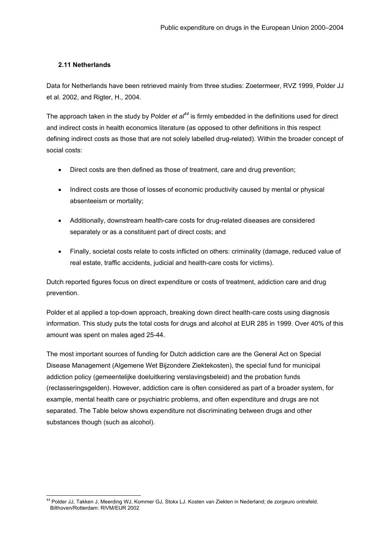# <span id="page-27-0"></span>**2.11 Netherlands**

Data for Netherlands have been retrieved mainly from three studies: Zoetermeer, RVZ 1999, Polder JJ et al. 2002, and Rigter, H., 2004.

The approach taken in the study by Polder *et al[44](#page-27-1)* is firmly embedded in the definitions used for direct and indirect costs in health economics literature (as opposed to other definitions in this respect defining indirect costs as those that are not solely labelled drug-related). Within the broader concept of social costs:

- Direct costs are then defined as those of treatment, care and drug prevention;
- Indirect costs are those of losses of economic productivity caused by mental or physical absenteeism or mortality;
- Additionally, downstream health-care costs for drug-related diseases are considered separately or as a constituent part of direct costs; and
- Finally, societal costs relate to costs inflicted on others: criminality (damage, reduced value of real estate, traffic accidents, judicial and health-care costs for victims).

Dutch reported figures focus on direct expenditure or costs of treatment, addiction care and drug prevention.

Polder et al applied a top-down approach, breaking down direct health-care costs using diagnosis information. This study puts the total costs for drugs and alcohol at EUR 285 in 1999. Over 40% of this amount was spent on males aged 25-44.

The most important sources of funding for Dutch addiction care are the General Act on Special Disease Management (Algemene Wet Bijzondere Ziektekosten), the special fund for municipal addiction policy (gemeentelijke doeluitkering verslavingsbeleid) and the probation funds (reclasseringsgelden). However, addiction care is often considered as part of a broader system, for example, mental health care or psychiatric problems, and often expenditure and drugs are not separated. The Table below shows expenditure not discriminating between drugs and other substances though (such as alcohol).

<span id="page-27-1"></span>l <sup>44</sup> Polder JJ, Takken J, Meerding WJ, Kommer GJ, Stokx LJ. Kosten van Ziekten in Nederland; de zorgeuro ontrafeld. Bilthoven/Rotterdam: RIVM/EUR 2002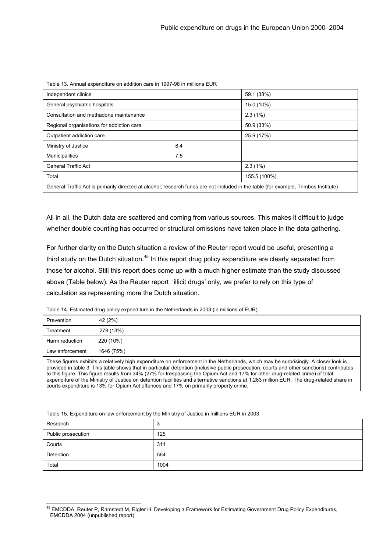| Independent clinics                                                                                                                 |     | 59.1 (38%)   |  |  |
|-------------------------------------------------------------------------------------------------------------------------------------|-----|--------------|--|--|
| General psychiatric hospitals                                                                                                       |     | 15.0 (10%)   |  |  |
| Consultation and methadone maintenance                                                                                              |     | 2.3(1%)      |  |  |
| Regional organisations for addiction care                                                                                           |     | 50.9 (33%)   |  |  |
| Outpatient addiction care                                                                                                           |     | 25.9 (17%)   |  |  |
| Ministry of Justice                                                                                                                 | 8.4 |              |  |  |
| <b>Municipalities</b>                                                                                                               | 7.5 |              |  |  |
| <b>General Traffic Act</b>                                                                                                          |     | 2.3(1%)      |  |  |
| Total                                                                                                                               |     | 155.5 (100%) |  |  |
| General Traffic Act is primarily directed at alcohol; research funds are not included in the table (for example, Trimbos Institute) |     |              |  |  |

Table 13. Annual expenditure on addition care in 1997-98 in millions EUR

All in all, the Dutch data are scattered and coming from various sources. This makes it difficult to judge

whether double counting has occurred or structural omissions have taken place in the data gathering.

For further clarity on the Dutch situation a review of the Reuter report would be useful, presenting a third study on the Dutch situation.<sup>45</sup> In this report drug policy expenditure are clearly separated from those for alcohol. Still this report does come up with a much higher estimate than the study discussed above (Table below). As the Reuter report 'illicit drugs' only, we prefer to rely on this type of calculation as representing more the Dutch situation.

Table 14. Estimated drug policy expenditure in the Netherlands in 2003 (in millions of EUR)

| Prevention                                                                                                                                                                                                                                                                       | 42 (2%)    |  |  |
|----------------------------------------------------------------------------------------------------------------------------------------------------------------------------------------------------------------------------------------------------------------------------------|------------|--|--|
| Treatment                                                                                                                                                                                                                                                                        | 278 (13%)  |  |  |
| Harm reduction                                                                                                                                                                                                                                                                   | 220 (10%)  |  |  |
| Law enforcement                                                                                                                                                                                                                                                                  | 1646 (75%) |  |  |
| These figures exhibits a relatively high expenditure on enforcement in the Netherlands, which may be surprisingly. A closer look is<br>provided in table 3. This table shows that in particular detention (inclusive public prosecution, courts and other sanctions) contributes |            |  |  |

ble 3. This table shows that in particular detention (inclusive public prosecution, courts and other  $\overline{\phantom{a}}$ to this figure. This figure results from 34% (27% for trespassing the Opium Act and 17% for other drug-related crime) of total expenditure of the Ministry of Justice on detention facilities and alternative sanctions at 1,283 million EUR. The drug-related share in courts expenditure is 13% for Opium Act offences and 17% on primarily property crime.

|  |  | Table 15. Expenditure on law enforcement by the Ministry of Justice in millions EUR in 2003 |
|--|--|---------------------------------------------------------------------------------------------|
|  |  |                                                                                             |

l

| Research           | ◠<br>ບ |
|--------------------|--------|
| Public prosecution | 125    |
| Courts             | 311    |
| Detention          | 564    |
| Total              | 1004   |

<span id="page-28-0"></span><sup>&</sup>lt;sup>45</sup> EMCDDA, Reuter P, Ramstedt M, Rigter H. Developing a Framework for Estimating Government Drug Policy Expenditures, EMCDDA 2004 (unpublished report)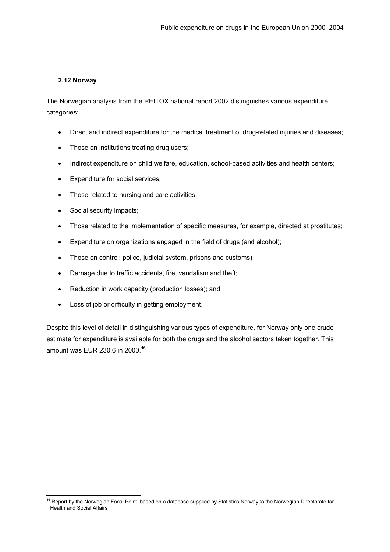### <span id="page-29-0"></span>**2.12 Norway**

The Norwegian analysis from the REITOX national report 2002 distinguishes various expenditure categories:

- Direct and indirect expenditure for the medical treatment of drug-related injuries and diseases;
- Those on institutions treating drug users;
- Indirect expenditure on child welfare, education, school-based activities and health centers;
- Expenditure for social services;
- Those related to nursing and care activities;
- Social security impacts;

l

- Those related to the implementation of specific measures, for example, directed at prostitutes;
- Expenditure on organizations engaged in the field of drugs (and alcohol);
- Those on control: police, judicial system, prisons and customs);
- Damage due to traffic accidents, fire, vandalism and theft;
- Reduction in work capacity (production losses); and
- Loss of job or difficulty in getting employment.

Despite this level of detail in distinguishing various types of expenditure, for Norway only one crude estimate for expenditure is available for both the drugs and the alcohol sectors taken together. This amount was EUR 230.6 in 2000.<sup>46</sup>

<span id="page-29-1"></span><sup>&</sup>lt;sup>46</sup> Report by the Norwegian Focal Point, based on a database supplied by Statistics Norway to the Norwegian Directorate for Health and Social Affairs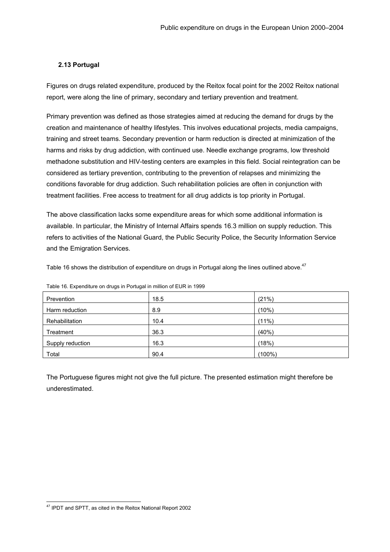# <span id="page-30-0"></span>**2.13 Portugal**

Figures on drugs related expenditure, produced by the Reitox focal point for the 2002 Reitox national report, were along the line of primary, secondary and tertiary prevention and treatment.

Primary prevention was defined as those strategies aimed at reducing the demand for drugs by the creation and maintenance of healthy lifestyles. This involves educational projects, media campaigns, training and street teams. Secondary prevention or harm reduction is directed at minimization of the harms and risks by drug addiction, with continued use. Needle exchange programs, low threshold methadone substitution and HIV-testing centers are examples in this field. Social reintegration can be considered as tertiary prevention, contributing to the prevention of relapses and minimizing the conditions favorable for drug addiction. Such rehabilitation policies are often in conjunction with treatment facilities. Free access to treatment for all drug addicts is top priority in Portugal.

The above classification lacks some expenditure areas for which some additional information is available. In particular, the Ministry of Internal Affairs spends 16.3 million on supply reduction. This refers to activities of the National Guard, the Public Security Police, the Security Information Service and the Emigration Services.

Table 16 shows the distribution of expenditure on drugs in Portugal along the lines outlined above.<sup>[47](#page-30-1)</sup>

| Prevention       | 18.5 | (21%)     |
|------------------|------|-----------|
| Harm reduction   | 8.9  | (10%)     |
| Rehabilitation   | 10.4 | $(11\%)$  |
| Treatment        | 36.3 | (40%      |
| Supply reduction | 16.3 | (18%)     |
| Total            | 90.4 | $(100\%)$ |

Table 16. Expenditure on drugs in Portugal in million of EUR in 1999

The Portuguese figures might not give the full picture. The presented estimation might therefore be underestimated.

<span id="page-30-1"></span> <sup>47</sup> IPDT and SPTT, as cited in the Reitox National Report 2002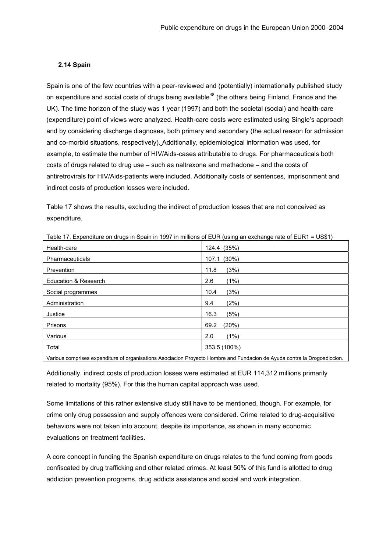#### <span id="page-31-0"></span>**2.14 Spain**

Spain is one of the few countries with a peer-reviewed and (potentially) internationally published study on expenditure and social costs of drugs being available<sup>48</sup> (the others being Finland, France and the UK). The time horizon of the study was 1 year (1997) and both the societal (social) and health-care (expenditure) point of views were analyzed. Health-care costs were estimated using Single's approach and by considering discharge diagnoses, both primary and secondary (the actual reason for admission and co-morbid situations, respectively). Additionally, epidemiological information was used, for example, to estimate the number of HIV/Aids-cases attributable to drugs. For pharmaceuticals both costs of drugs related to drug use – such as naltrexone and methadone – and the costs of antiretrovirals for HIV/Aids-patients were included. Additionally costs of sentences, imprisonment and indirect costs of production losses were included.

Table 17 shows the results, excluding the indirect of production losses that are not conceived as expenditure.

| .<br><u>. .</u>      | .             |
|----------------------|---------------|
| Health-care          | 124.4 (35%)   |
| Pharmaceuticals      | 107.1 (30%)   |
| Prevention           | (3%)<br>11.8  |
| Education & Research | (1%)<br>2.6   |
| Social programmes    | (3%)<br>10.4  |
| Administration       | (2%)<br>9.4   |
| Justice              | (5%)<br>16.3  |
| Prisons              | (20%)<br>69.2 |
| Various              | (1%)<br>2.0   |
| Total                | 353.5 (100%)  |
|                      |               |

Table 17. Expenditure on drugs in Spain in 1997 in millions of EUR (using an exchange rate of EUR1 = US\$1)

Various comprises expenditure of organisations Asociacion Proyecto Hombre and Fundacion de Ayuda contra la Drogoadiccion.

Additionally, indirect costs of production losses were estimated at EUR 114,312 millions primarily related to mortality (95%). For this the human capital approach was used.

Some limitations of this rather extensive study still have to be mentioned, though. For example, for crime only drug possession and supply offences were considered. Crime related to drug-acquisitive behaviors were not taken into account, despite its importance, as shown in many economic evaluations on treatment facilities.

<span id="page-31-1"></span>A core concept in funding the Spanish expenditure on drugs relates to the fund coming from goods confiscated by drug trafficking and other related crimes. At least 50% of this fund is allotted to drug addiction prevention programs, drug addicts assistance and social and work integration.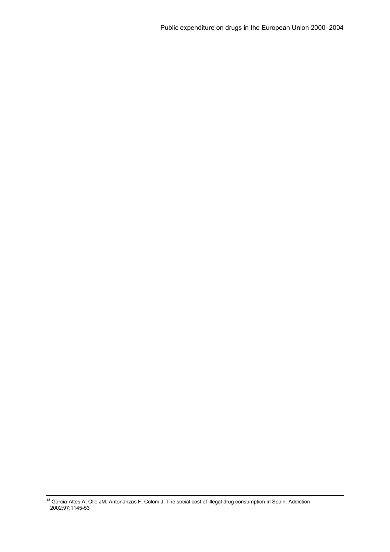<sup>48</sup> Garcia-Altes A, Olle JM, Antonanzas F, Colom J. The social cost of illegal drug consumption in Spain. Addiction 2002;97:1145-53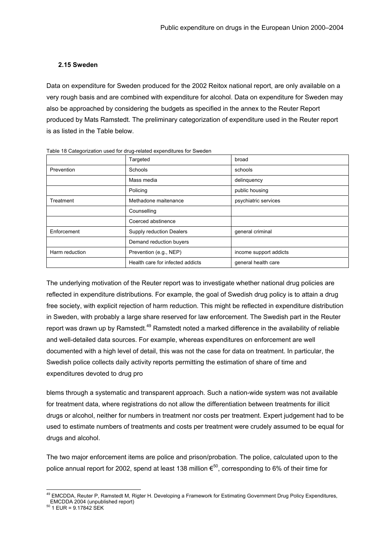### <span id="page-33-0"></span>**2.15 Sweden**

Data on expenditure for Sweden produced for the 2002 Reitox national report, are only available on a very rough basis and are combined with expenditure for alcohol. Data on expenditure for Sweden may also be approached by considering the budgets as specified in the annex to the Reuter Report produced by Mats Ramstedt. The preliminary categorization of expenditure used in the Reuter report is as listed in the Table below.

|                | Targeted                         | broad                  |
|----------------|----------------------------------|------------------------|
| Prevention     | Schools                          | schools                |
|                | Mass media                       | delinquency            |
|                | Policing                         | public housing         |
| Treatment      | Methadone maitenance             | psychiatric services   |
|                | Counselling                      |                        |
|                | Coerced abstinence               |                        |
| Enforcement    | Supply reduction Dealers         | general criminal       |
|                | Demand reduction buyers          |                        |
| Harm reduction | Prevention (e.g., NEP)           | income support addicts |
|                | Health care for infected addicts | general health care    |

Table 18 Categorization used for drug-related expenditures for Sweden

The underlying motivation of the Reuter report was to investigate whether national drug policies are reflected in expenditure distributions. For example, the goal of Swedish drug policy is to attain a drug free society, with explicit rejection of harm reduction. This might be reflected in expenditure distribution in Sweden, with probably a large share reserved for law enforcement. The Swedish part in the Reuter report was drawn up by Ramstedt.<sup>49</sup> Ramstedt noted a marked difference in the availability of reliable and well-detailed data sources. For example, whereas expenditures on enforcement are well documented with a high level of detail, this was not the case for data on treatment. In particular, the Swedish police collects daily activity reports permitting the estimation of share of time and expenditures devoted to drug pro

blems through a systematic and transparent approach. Such a nation-wide system was not available for treatment data, where registrations do not allow the differentiation between treatments for illicit drugs or alcohol, neither for numbers in treatment nor costs per treatment. Expert judgement had to be used to estimate numbers of treatments and costs per treatment were crudely assumed to be equal for drugs and alcohol.

The two major enforcement items are police and prison/probation. The police, calculated upon to the police annual report for 2002, spend at least 138 million  $\epsilon^{50}$ , corresponding to 6% of their time for

<span id="page-33-1"></span><sup>&</sup>lt;sup>49</sup> EMCDDA, Reuter P, Ramstedt M, Rigter H. Developing a Framework for Estimating Government Drug Policy Expenditures, EMCDDA 2004 (unpublished report)<br><sup>50</sup> 1 EUR = 9.17842 SEK

<span id="page-33-2"></span>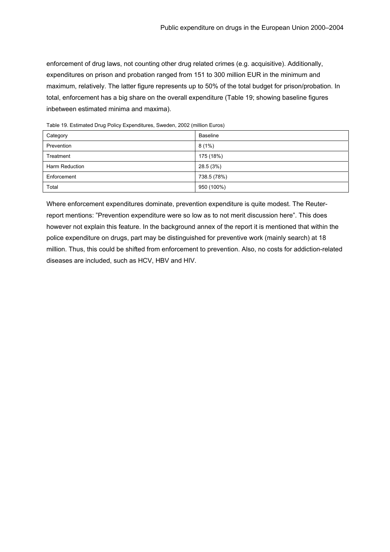enforcement of drug laws, not counting other drug related crimes (e.g. acquisitive). Additionally, expenditures on prison and probation ranged from 151 to 300 million EUR in the minimum and maximum, relatively. The latter figure represents up to 50% of the total budget for prison/probation. In total, enforcement has a big share on the overall expenditure (Table 19; showing baseline figures inbetween estimated minima and maxima).

| Category       | Baseline    |
|----------------|-------------|
| Prevention     | $8(1\%)$    |
| Treatment      | 175 (18%)   |
| Harm Reduction | 28.5 (3%)   |
| Enforcement    | 738.5 (78%) |
| Total          | 950 (100%)  |

Table 19. Estimated Drug Policy Expenditures, Sweden, 2002 (million Euros)

Where enforcement expenditures dominate, prevention expenditure is quite modest. The Reuterreport mentions: "Prevention expenditure were so low as to not merit discussion here". This does however not explain this feature. In the background annex of the report it is mentioned that within the police expenditure on drugs, part may be distinguished for preventive work (mainly search) at 18 million. Thus, this could be shifted from enforcement to prevention. Also, no costs for addiction-related diseases are included, such as HCV, HBV and HIV.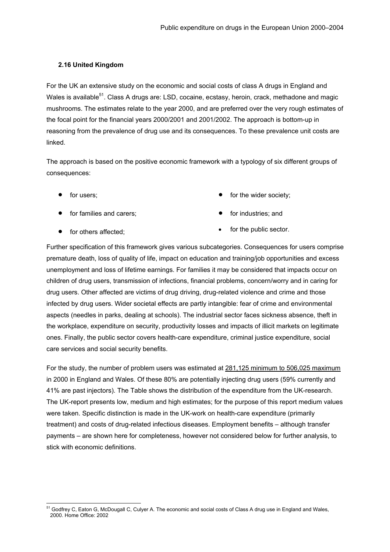# <span id="page-35-0"></span>**2.16 United Kingdom**

For the UK an extensive study on the economic and social costs of class A drugs in England and Wales is available<sup>51</sup>. Class A drugs are: LSD, cocaine, ecstasy, heroin, crack, methadone and magic mushrooms. The estimates relate to the year 2000, and are preferred over the very rough estimates of the focal point for the financial years 2000/2001 and 2001/2002. The approach is bottom-up in reasoning from the prevalence of drug use and its consequences. To these prevalence unit costs are linked.

The approach is based on the positive economic framework with a typology of six different groups of consequences:

• for users;

• for the wider society;

• for families and carers;

• for industries; and

• for others affected;

• for the public sector.

Further specification of this framework gives various subcategories. Consequences for users comprise premature death, loss of quality of life, impact on education and training/job opportunities and excess unemployment and loss of lifetime earnings. For families it may be considered that impacts occur on children of drug users, transmission of infections, financial problems, concern/worry and in caring for drug users. Other affected are victims of drug driving, drug-related violence and crime and those infected by drug users. Wider societal effects are partly intangible: fear of crime and environmental aspects (needles in parks, dealing at schools). The industrial sector faces sickness absence, theft in the workplace, expenditure on security, productivity losses and impacts of illicit markets on legitimate ones. Finally, the public sector covers health-care expenditure, criminal justice expenditure, social care services and social security benefits.

For the study, the number of problem users was estimated at 281,125 minimum to 506,025 maximum in 2000 in England and Wales. Of these 80% are potentially injecting drug users (59% currently and 41% are past injectors). The Table shows the distribution of the expenditure from the UK-research. The UK-report presents low, medium and high estimates; for the purpose of this report medium values were taken. Specific distinction is made in the UK-work on health-care expenditure (primarily treatment) and costs of drug-related infectious diseases. Employment benefits – although transfer payments – are shown here for completeness, however not considered below for further analysis, to stick with economic definitions.

<span id="page-35-1"></span>l <sup>51</sup> Godfrey C, Eaton G, McDougall C, Culyer A. The economic and social costs of Class A drug use in England and Wales, 2000. Home Office: 2002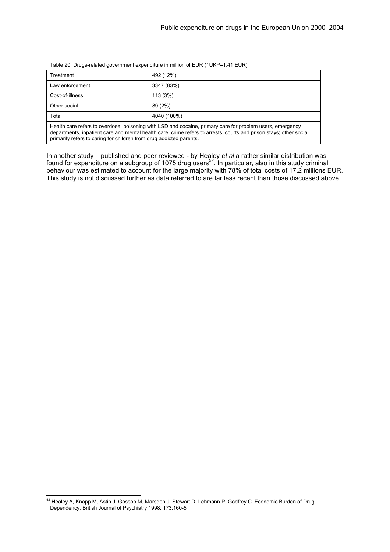Table 20. Drugs-related government expenditure in million of EUR (1UKP=1.41 EUR)

| Treatment                                                                                                 | 492 (12%)   |  |  |
|-----------------------------------------------------------------------------------------------------------|-------------|--|--|
| Law enforcement                                                                                           | 3347 (83%)  |  |  |
| Cost-of-illness                                                                                           | 113(3%)     |  |  |
| Other social                                                                                              | 89 (2%)     |  |  |
| Total                                                                                                     | 4040 (100%) |  |  |
| Health care refers to overdose, poisoning with LSD and cocaine, primary care for problem users, emergency |             |  |  |

departments, inpatient care and mental health care; crime refers to arrests, courts and prison stays; other social primarily refers to caring for children from drug addicted parents.

In another study – published and peer reviewed - by Healey *et al* a rather similar distribution was found for expenditure on a subgroup of 1075 drug users<sup>52</sup>. In particular, also in this study criminal behaviour was estimated to account for the large majority with 78% of total costs of 17.2 millions EUR. This study is not discussed further as data referred to are far less recent than those discussed above.

<span id="page-36-0"></span> <sup>52</sup> Healey A, Knapp M, Astin J, Gossop M, Marsden J, Stewart D, Lehmann P, Godfrey C. Economic Burden of Drug Dependency. British Journal of Psychiatry 1998; 173:160-5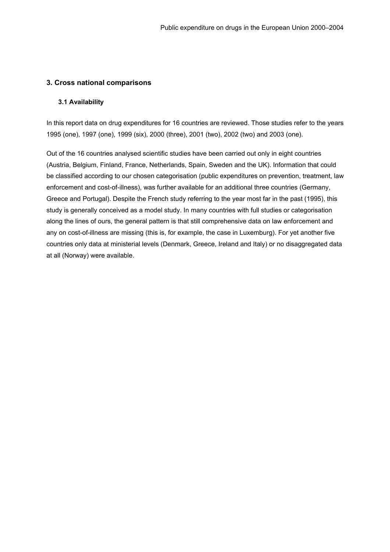# <span id="page-37-0"></span>**3. Cross national comparisons**

#### **3.1 Availability**

In this report data on drug expenditures for 16 countries are reviewed. Those studies refer to the years 1995 (one), 1997 (one), 1999 (six), 2000 (three), 2001 (two), 2002 (two) and 2003 (one).

Out of the 16 countries analysed scientific studies have been carried out only in eight countries (Austria, Belgium, Finland, France, Netherlands, Spain, Sweden and the UK). Information that could be classified according to our chosen categorisation (public expenditures on prevention, treatment, law enforcement and cost-of-illness), was further available for an additional three countries (Germany, Greece and Portugal). Despite the French study referring to the year most far in the past (1995), this study is generally conceived as a model study. In many countries with full studies or categorisation along the lines of ours, the general pattern is that still comprehensive data on law enforcement and any on cost-of-illness are missing (this is, for example, the case in Luxemburg). For yet another five countries only data at ministerial levels (Denmark, Greece, Ireland and Italy) or no disaggregated data at all (Norway) were available.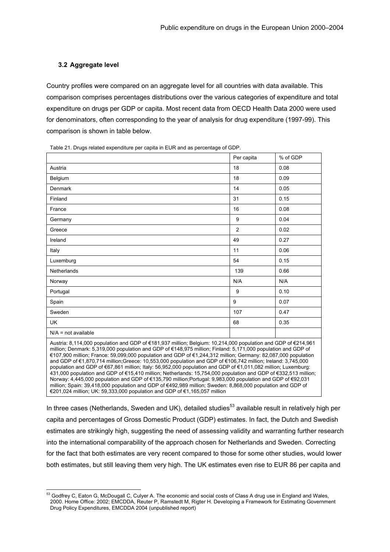#### <span id="page-38-0"></span>**3.2 Aggregate level**

Country profiles were compared on an aggregate level for all countries with data available. This comparison comprises percentages distributions over the various categories of expenditure and total expenditure on drugs per GDP or capita. Most recent data from OECD Health Data 2000 were used for denominators, often corresponding to the year of analysis for drug expenditure (1997-99). This comparison is shown in table below.

Table 21. Drugs related expenditure per capita in EUR and as percentage of GDP.

|                                                                                                                                                                                                                                                                                                                                                                                                                                                                                                                                                                                                                                                                                                                                                                                                                                                                                                                                                                                                           | Per capita     | % of GDP |  |  |
|-----------------------------------------------------------------------------------------------------------------------------------------------------------------------------------------------------------------------------------------------------------------------------------------------------------------------------------------------------------------------------------------------------------------------------------------------------------------------------------------------------------------------------------------------------------------------------------------------------------------------------------------------------------------------------------------------------------------------------------------------------------------------------------------------------------------------------------------------------------------------------------------------------------------------------------------------------------------------------------------------------------|----------------|----------|--|--|
| Austria                                                                                                                                                                                                                                                                                                                                                                                                                                                                                                                                                                                                                                                                                                                                                                                                                                                                                                                                                                                                   | 18             | 0.08     |  |  |
| Belgium                                                                                                                                                                                                                                                                                                                                                                                                                                                                                                                                                                                                                                                                                                                                                                                                                                                                                                                                                                                                   | 18             | 0.09     |  |  |
| Denmark                                                                                                                                                                                                                                                                                                                                                                                                                                                                                                                                                                                                                                                                                                                                                                                                                                                                                                                                                                                                   | 14             | 0.05     |  |  |
| Finland                                                                                                                                                                                                                                                                                                                                                                                                                                                                                                                                                                                                                                                                                                                                                                                                                                                                                                                                                                                                   | 31             | 0.15     |  |  |
| France                                                                                                                                                                                                                                                                                                                                                                                                                                                                                                                                                                                                                                                                                                                                                                                                                                                                                                                                                                                                    | 16             | 0.08     |  |  |
| Germany                                                                                                                                                                                                                                                                                                                                                                                                                                                                                                                                                                                                                                                                                                                                                                                                                                                                                                                                                                                                   | 9              | 0.04     |  |  |
| Greece                                                                                                                                                                                                                                                                                                                                                                                                                                                                                                                                                                                                                                                                                                                                                                                                                                                                                                                                                                                                    | $\mathfrak{p}$ | 0.02     |  |  |
| Ireland                                                                                                                                                                                                                                                                                                                                                                                                                                                                                                                                                                                                                                                                                                                                                                                                                                                                                                                                                                                                   | 49             | 0.27     |  |  |
| Italy                                                                                                                                                                                                                                                                                                                                                                                                                                                                                                                                                                                                                                                                                                                                                                                                                                                                                                                                                                                                     | 11             | 0.06     |  |  |
| Luxemburg                                                                                                                                                                                                                                                                                                                                                                                                                                                                                                                                                                                                                                                                                                                                                                                                                                                                                                                                                                                                 | 54             | 0.15     |  |  |
| <b>Netherlands</b>                                                                                                                                                                                                                                                                                                                                                                                                                                                                                                                                                                                                                                                                                                                                                                                                                                                                                                                                                                                        | 139            | 0.66     |  |  |
| Norway                                                                                                                                                                                                                                                                                                                                                                                                                                                                                                                                                                                                                                                                                                                                                                                                                                                                                                                                                                                                    | N/A            | N/A      |  |  |
| Portugal                                                                                                                                                                                                                                                                                                                                                                                                                                                                                                                                                                                                                                                                                                                                                                                                                                                                                                                                                                                                  | 9              | 0.10     |  |  |
| Spain                                                                                                                                                                                                                                                                                                                                                                                                                                                                                                                                                                                                                                                                                                                                                                                                                                                                                                                                                                                                     | 9              | 0.07     |  |  |
| Sweden                                                                                                                                                                                                                                                                                                                                                                                                                                                                                                                                                                                                                                                                                                                                                                                                                                                                                                                                                                                                    | 107            | 0.47     |  |  |
| <b>UK</b>                                                                                                                                                                                                                                                                                                                                                                                                                                                                                                                                                                                                                                                                                                                                                                                                                                                                                                                                                                                                 | 68             | 0.35     |  |  |
| $N/A$ = not available                                                                                                                                                                                                                                                                                                                                                                                                                                                                                                                                                                                                                                                                                                                                                                                                                                                                                                                                                                                     |                |          |  |  |
| Austria: 8,114,000 population and GDP of €181,937 million; Belgium: 10,214,000 population and GDP of €214,961<br>million; Denmark: 5,319,000 population and GDP of €148,975 million; Finland: 5,171,000 population and GDP of<br>€107,900 million; France: 59,099,000 population and GDP of €1,244,312 million; Germany: 82,087,000 population<br>and GDP of €1,870,714 million;Greece: 10,553,000 population and GDP of €106,742 million; Ireland: 3,745,000<br>population and GDP of €67,861 million; Italy: 56,952,000 population and GDP of €1,011,082 million; Luxemburg:<br>431,000 population and GDP of €15,410 million; Netherlands: 15,754,000 population and GDP of €332,513 million;<br>Norway: 4,445,000 population and GDP of €135,790 million;Portugal: 9,983,000 population and GDP of €92,031<br>million; Spain: 39,418,000 population and GDP of €492,989 million; Sweden: 8,868,000 population and GDP of<br>€201,024 million; UK: 59,333,000 population and GDP of €1,165,057 million |                |          |  |  |

In three cases (Netherlands, Sweden and UK), detailed studies<sup>53</sup> available result in relatively high per capita and percentages of Gross Domestic Product (GDP) estimates. In fact, the Dutch and Swedish estimates are strikingly high, suggesting the need of assessing validity and warranting further research into the international comparability of the approach chosen for Netherlands and Sweden. Correcting for the fact that both estimates are very recent compared to those for some other studies, would lower both estimates, but still leaving them very high. The UK estimates even rise to EUR 86 per capita and

<span id="page-38-1"></span><sup>&</sup>lt;sup>53</sup> Godfrey C. Eaton G, McDougall C, Culyer A. The economic and social costs of Class A drug use in England and Wales, 2000. Home Office: 2002; EMCDDA, Reuter P, Ramstedt M, Rigter H. Developing a Framework for Estimating Government Drug Policy Expenditures, EMCDDA 2004 (unpublished report)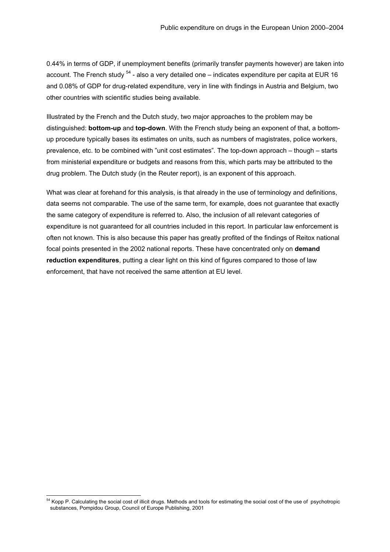0.44% in terms of GDP, if unemployment benefits (primarily transfer payments however) are taken into account. The French study  $54$  - also a very detailed one – indicates expenditure per capita at EUR 16 and 0.08% of GDP for drug[-re](#page-39-0)lated expenditure, very in line with findings in Austria and Belgium, two other countries with scientific studies being available.

Illustrated by the French and the Dutch study, two major approaches to the problem may be distinguished: **bottom-up** and **top-down**. With the French study being an exponent of that, a bottomup procedure typically bases its estimates on units, such as numbers of magistrates, police workers, prevalence, etc. to be combined with "unit cost estimates". The top-down approach – though – starts from ministerial expenditure or budgets and reasons from this, which parts may be attributed to the drug problem. The Dutch study (in the Reuter report), is an exponent of this approach.

What was clear at forehand for this analysis, is that already in the use of terminology and definitions, data seems not comparable. The use of the same term, for example, does not guarantee that exactly the same category of expenditure is referred to. Also, the inclusion of all relevant categories of expenditure is not guaranteed for all countries included in this report. In particular law enforcement is often not known. This is also because this paper has greatly profited of the findings of Reitox national focal points presented in the 2002 national reports. These have concentrated only on **demand reduction expenditures**, putting a clear light on this kind of figures compared to those of law enforcement, that have not received the same attention at EU level.

<span id="page-39-0"></span><sup>&</sup>lt;sup>54</sup> Kopp P. Calculating the social cost of illicit drugs. Methods and tools for estimating the social cost of the use of psychotropic substances, Pompidou Group, Council of Europe Publishing, 2001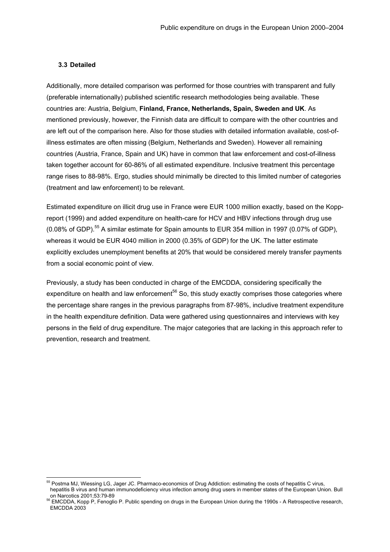#### <span id="page-40-0"></span>**3.3 Detailed**

Additionally, more detailed comparison was performed for those countries with transparent and fully (preferable internationally) published scientific research methodologies being available. These countries are: Austria, Belgium, **Finland, France, Netherlands, Spain, Sweden and UK**. As mentioned previously, however, the Finnish data are difficult to compare with the other countries and are left out of the comparison here. Also for those studies with detailed information available, cost-ofillness estimates are often missing (Belgium, Netherlands and Sweden). However all remaining countries (Austria, France, Spain and UK) have in common that law enforcement and cost-of-illness taken together account for 60-86% of all estimated expenditure. Inclusive treatment this percentage range rises to 88-98%. Ergo, studies should minimally be directed to this limited number of categories (treatment and law enforcement) to be relevant.

Estimated expenditure on illicit drug use in France were EUR 1000 million exactly, based on the Koppreport (1999) and added expenditure on health-care for HCV and HBV infections through drug use (0.08% of GDP).<sup>55</sup> A similar estimate for Spain amounts to EUR 354 million in 1997 (0.07% of GDP), whereas it would be EUR 4040 million in 2000 (0.35% of GDP) for the UK. The latter estimate explicitly excludes unemployment benefits at 20% that would be considered merely transfer payments from a social economic point of view.

Previously, a study has been conducted in charge of the EMCDDA, considering specifically the expenditure on health and law enforcement<sup>56</sup> So, this study exactly comprises those categories where the percentage share ranges in the previous paragraphs from 87-98%, includive treatment expenditure in the health expenditure definition. Data were gathered using questionnaires and interviews with key persons in the field of drug expenditure. The major categories that are lacking in this approach refer to prevention, research and treatment.

<span id="page-40-1"></span><sup>&</sup>lt;sup>55</sup> Postma MJ, Wiessing LG, Jager JC. Pharmaco-economics of Drug Addiction: estimating the costs of hepatitis C virus, hepatitis B virus and human immunodeficiency virus infection among drug users in member states of the European Union. Bull

<span id="page-40-2"></span>on Narcotics 2001;53:79-89 56 EMCDDA, Kopp P, Fenoglio P. Public spending on drugs in the European Union during the 1990s - A Retrospective research, EMCDDA 2003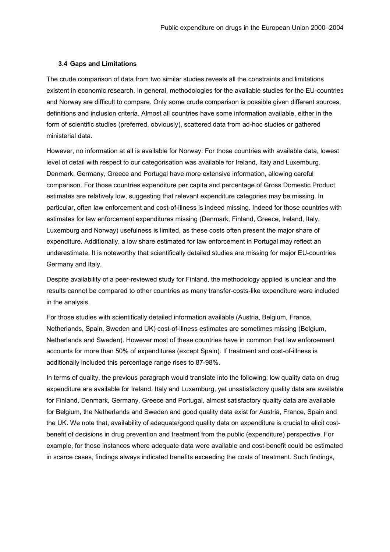#### **3.4 Gaps and Limitations**

The crude comparison of data from two similar studies reveals all the constraints and limitations existent in economic research. In general, methodologies for the available studies for the EU-countries and Norway are difficult to compare. Only some crude comparison is possible given different sources, definitions and inclusion criteria. Almost all countries have some information available, either in the form of scientific studies (preferred, obviously), scattered data from ad-hoc studies or gathered ministerial data.

However, no information at all is available for Norway. For those countries with available data, lowest level of detail with respect to our categorisation was available for Ireland, Italy and Luxemburg. Denmark, Germany, Greece and Portugal have more extensive information, allowing careful comparison. For those countries expenditure per capita and percentage of Gross Domestic Product estimates are relatively low, suggesting that relevant expenditure categories may be missing. In particular, often law enforcement and cost-of-illness is indeed missing. Indeed for those countries with estimates for law enforcement expenditures missing (Denmark, Finland, Greece, Ireland, Italy, Luxemburg and Norway) usefulness is limited, as these costs often present the major share of expenditure. Additionally, a low share estimated for law enforcement in Portugal may reflect an underestimate. It is noteworthy that scientifically detailed studies are missing for major EU-countries Germany and Italy.

Despite availability of a peer-reviewed study for Finland, the methodology applied is unclear and the results cannot be compared to other countries as many transfer-costs-like expenditure were included in the analysis.

For those studies with scientifically detailed information available (Austria, Belgium, France, Netherlands, Spain, Sweden and UK) cost-of-illness estimates are sometimes missing (Belgium, Netherlands and Sweden). However most of these countries have in common that law enforcement accounts for more than 50% of expenditures (except Spain). If treatment and cost-of-illness is additionally included this percentage range rises to 87-98%.

In terms of quality, the previous paragraph would translate into the following: low quality data on drug expenditure are available for Ireland, Italy and Luxemburg, yet unsatisfactory quality data are available for Finland, Denmark, Germany, Greece and Portugal, almost satisfactory quality data are available for Belgium, the Netherlands and Sweden and good quality data exist for Austria, France, Spain and the UK. We note that, availability of adequate/good quality data on expenditure is crucial to elicit costbenefit of decisions in drug prevention and treatment from the public (expenditure) perspective. For example, for those instances where adequate data were available and cost-benefit could be estimated in scarce cases, findings always indicated benefits exceeding the costs of treatment. Such findings,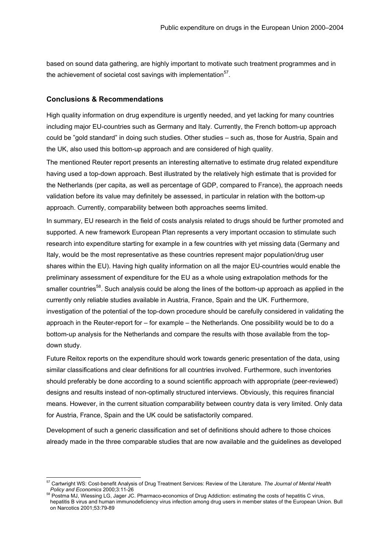<span id="page-42-0"></span>based on sound data gathering, are highly important to motivate such treatment programmes and in the achievement of societal cost savings with implementation $57$ .

#### **Conclusions & Recommendations**

High quality information on drug expenditure is urgently needed, and yet lacking for many countries including major EU-countries such as Germany and Italy. Currently, the French bottom-up approach could be "gold standard" in doing such studies. Other studies – such as, those for Austria, Spain and the UK, also used this bottom-up approach and are considered of high quality.

The mentioned Reuter report presents an interesting alternative to estimate drug related expenditure having used a top-down approach. Best illustrated by the relatively high estimate that is provided for the Netherlands (per capita, as well as percentage of GDP, compared to France), the approach needs validation before its value may definitely be assessed, in particular in relation with the bottom-up approach. Currently, comparability between both approaches seems limited.

In summary, EU research in the field of costs analysis related to drugs should be further promoted and supported. A new framework European Plan represents a very important occasion to stimulate such research into expenditure starting for example in a few countries with yet missing data (Germany and Italy, would be the most representative as these countries represent major population/drug user shares within the EU). Having high quality information on all the major EU-countries would enable the preliminary assessment of expenditure for the EU as a whole using extrapolation methods for the smaller countries<sup>58</sup>. Such analysis could be along the lines of the bottom-up approach as applied in the currently only reliable studies available in Austria, France, Spain and the UK. Furthermore, investigation of the potential of the top-down procedure should be carefully considered in validating the approach in the Reuter-report for – for example – the Netherlands. One possibility would be to do a bottom-up analysis for the Netherlands and compare the results with those available from the topdown study.

Future Reitox reports on the expenditure should work towards generic presentation of the data, using similar classifications and clear definitions for all countries involved. Furthermore, such inventories should preferably be done according to a sound scientific approach with appropriate (peer-reviewed) designs and results instead of non-optimally structured interviews. Obviously, this requires financial means. However, in the current situation comparability between country data is very limited. Only data for Austria, France, Spain and the UK could be satisfactorily compared.

Development of such a generic classification and set of definitions should adhere to those choices already made in the three comparable studies that are now available and the guidelines as developed

<span id="page-42-1"></span> <sup>57</sup> Cartwright WS: Cost-benefit Analysis of Drug Treatment Services: Review of the Literature. *The Journal of Mental Health Policy and Economics* 2000;3:11-26<br><sup>58</sup> Postma MJ, Wiessing LG, Jager JC. Pharmaco-economics of Drug Addiction: estimating the costs of hepatitis C virus,

<span id="page-42-2"></span>hepatitis B virus and human immunodeficiency virus infection among drug users in member states of the European Union. Bull on Narcotics 2001;53:79-89